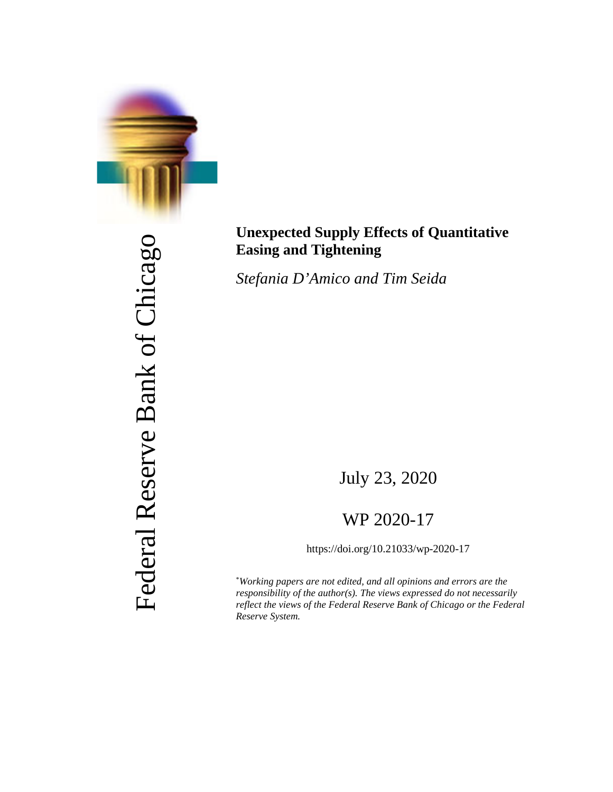

Federal Reserve Bank of Chicago Federal Reserve Bank of Chicago

## **Unexpected Supply Effects of Quantitative Easing and Tightening**

*Stefania D'Amico and Tim Seida*

July 23, 2020

## WP 2020-17

https://doi.org/10.21033/wp-2020-17

\* *Working papers are not edited, and all opinions and errors are the responsibility of the author(s). The views expressed do not necessarily reflect the views of the Federal Reserve Bank of Chicago or the Federal Reserve System.*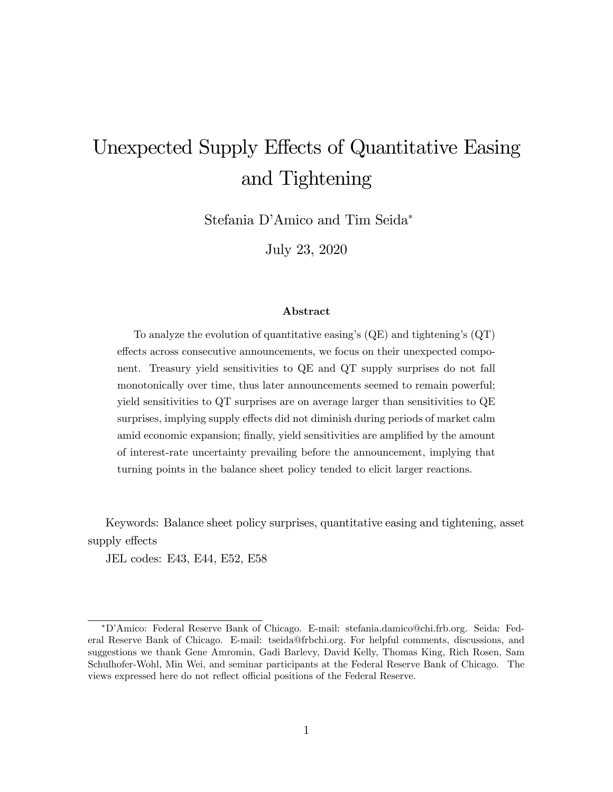# Unexpected Supply Effects of Quantitative Easing and Tightening

Stefania D'Amico and Tim Seida\*

July 23, 2020

#### Abstract

To analyze the evolution of quantitative easing's  $(QE)$  and tightening's  $(QT)$ effects across consecutive announcements, we focus on their unexpected component. Treasury yield sensitivities to QE and QT supply surprises do not fall monotonically over time, thus later announcements seemed to remain powerful; yield sensitivities to QT surprises are on average larger than sensitivities to QE surprises, implying supply effects did not diminish during periods of market calm amid economic expansion; finally, yield sensitivities are amplified by the amount of interest-rate uncertainty prevailing before the announcement, implying that turning points in the balance sheet policy tended to elicit larger reactions.

Keywords: Balance sheet policy surprises, quantitative easing and tightening, asset supply effects

JEL codes: E43, E44, E52, E58

DíAmico: Federal Reserve Bank of Chicago. E-mail: stefania.damico@chi.frb.org. Seida: Federal Reserve Bank of Chicago. E-mail: tseida@frbchi.org. For helpful comments, discussions, and suggestions we thank Gene Amromin, Gadi Barlevy, David Kelly, Thomas King, Rich Rosen, Sam Schulhofer-Wohl, Min Wei, and seminar participants at the Federal Reserve Bank of Chicago. The views expressed here do not reflect official positions of the Federal Reserve.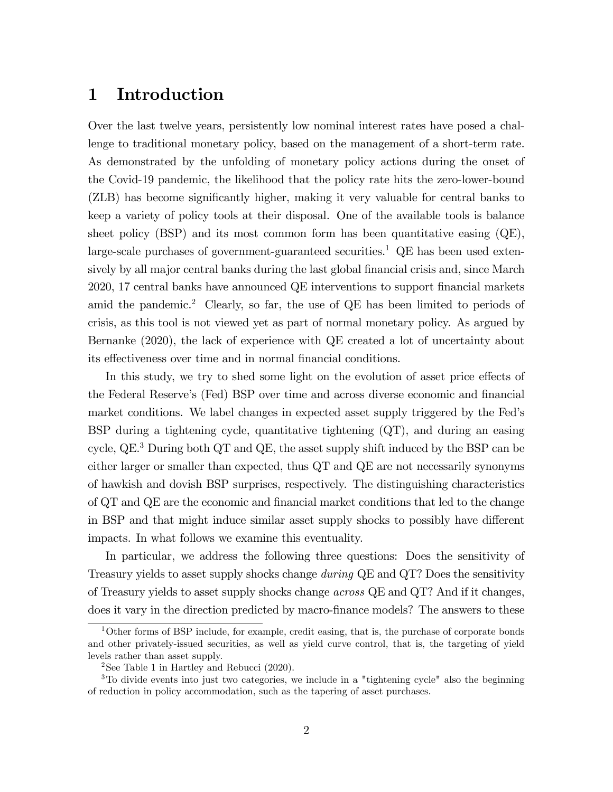## 1 Introduction

Over the last twelve years, persistently low nominal interest rates have posed a challenge to traditional monetary policy, based on the management of a short-term rate. As demonstrated by the unfolding of monetary policy actions during the onset of the Covid-19 pandemic, the likelihood that the policy rate hits the zero-lower-bound (ZLB) has become significantly higher, making it very valuable for central banks to keep a variety of policy tools at their disposal. One of the available tools is balance sheet policy (BSP) and its most common form has been quantitative easing  $(QE)$ , large-scale purchases of government-guaranteed securities.<sup>1</sup> QE has been used extensively by all major central banks during the last global financial crisis and, since March 2020, 17 central banks have announced QE interventions to support financial markets amid the pandemic.<sup>2</sup> Clearly, so far, the use of QE has been limited to periods of crisis, as this tool is not viewed yet as part of normal monetary policy. As argued by Bernanke (2020), the lack of experience with QE created a lot of uncertainty about its effectiveness over time and in normal financial conditions.

In this study, we try to shed some light on the evolution of asset price effects of the Federal Reserve's (Fed) BSP over time and across diverse economic and financial market conditions. We label changes in expected asset supply triggered by the Fedís BSP during a tightening cycle, quantitative tightening (QT), and during an easing cycle,  $QE<sup>3</sup>$  During both QT and QE, the asset supply shift induced by the BSP can be either larger or smaller than expected, thus QT and QE are not necessarily synonyms of hawkish and dovish BSP surprises, respectively. The distinguishing characteristics of QT and QE are the economic and financial market conditions that led to the change in BSP and that might induce similar asset supply shocks to possibly have different impacts. In what follows we examine this eventuality.

In particular, we address the following three questions: Does the sensitivity of Treasury yields to asset supply shocks change during QE and QT? Does the sensitivity of Treasury yields to asset supply shocks change across QE and QT? And if it changes, does it vary in the direction predicted by macro-finance models? The answers to these

<sup>1</sup>Other forms of BSP include, for example, credit easing, that is, the purchase of corporate bonds and other privately-issued securities, as well as yield curve control, that is, the targeting of yield levels rather than asset supply.

<sup>&</sup>lt;sup>2</sup>See Table 1 in Hartley and Rebucci  $(2020)$ .

<sup>3</sup>To divide events into just two categories, we include in a "tightening cycle" also the beginning of reduction in policy accommodation, such as the tapering of asset purchases.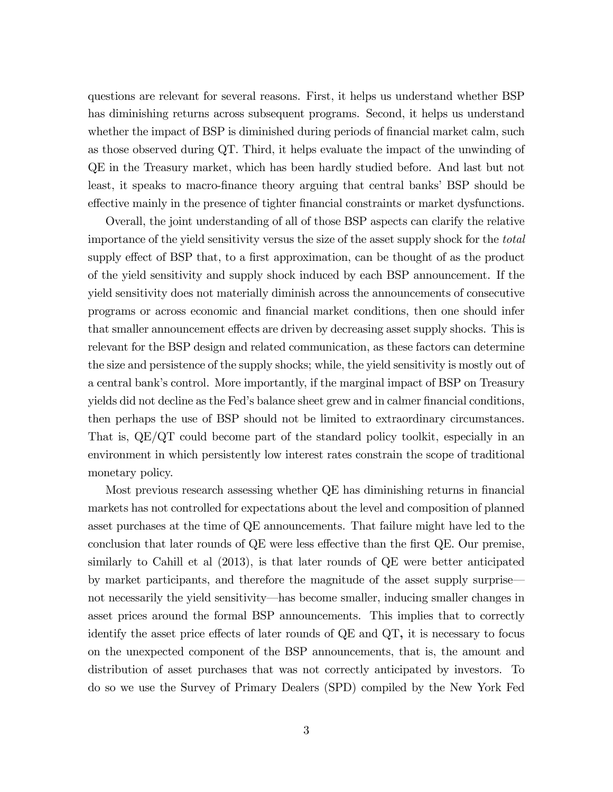questions are relevant for several reasons. First, it helps us understand whether BSP has diminishing returns across subsequent programs. Second, it helps us understand whether the impact of BSP is diminished during periods of financial market calm, such as those observed during QT. Third, it helps evaluate the impact of the unwinding of QE in the Treasury market, which has been hardly studied before. And last but not least, it speaks to macro-finance theory arguing that central banks' BSP should be effective mainly in the presence of tighter financial constraints or market dysfunctions.

Overall, the joint understanding of all of those BSP aspects can clarify the relative importance of the yield sensitivity versus the size of the asset supply shock for the total supply effect of BSP that, to a first approximation, can be thought of as the product of the yield sensitivity and supply shock induced by each BSP announcement. If the yield sensitivity does not materially diminish across the announcements of consecutive programs or across economic and Önancial market conditions, then one should infer that smaller announcement effects are driven by decreasing asset supply shocks. This is relevant for the BSP design and related communication, as these factors can determine the size and persistence of the supply shocks; while, the yield sensitivity is mostly out of a central bank's control. More importantly, if the marginal impact of BSP on Treasury yields did not decline as the Fed's balance sheet grew and in calmer financial conditions, then perhaps the use of BSP should not be limited to extraordinary circumstances. That is, QE/QT could become part of the standard policy toolkit, especially in an environment in which persistently low interest rates constrain the scope of traditional monetary policy.

Most previous research assessing whether QE has diminishing returns in financial markets has not controlled for expectations about the level and composition of planned asset purchases at the time of QE announcements. That failure might have led to the conclusion that later rounds of  $QE$  were less effective than the first  $QE$ . Our premise, similarly to Cahill et al (2013), is that later rounds of QE were better anticipated by market participants, and therefore the magnitude of the asset supply surprise not necessarily the yield sensitivity—has become smaller, inducing smaller changes in asset prices around the formal BSP announcements. This implies that to correctly identify the asset price effects of later rounds of  $\overline{QE}$  and  $\overline{QT}$ , it is necessary to focus on the unexpected component of the BSP announcements, that is, the amount and distribution of asset purchases that was not correctly anticipated by investors. To do so we use the Survey of Primary Dealers (SPD) compiled by the New York Fed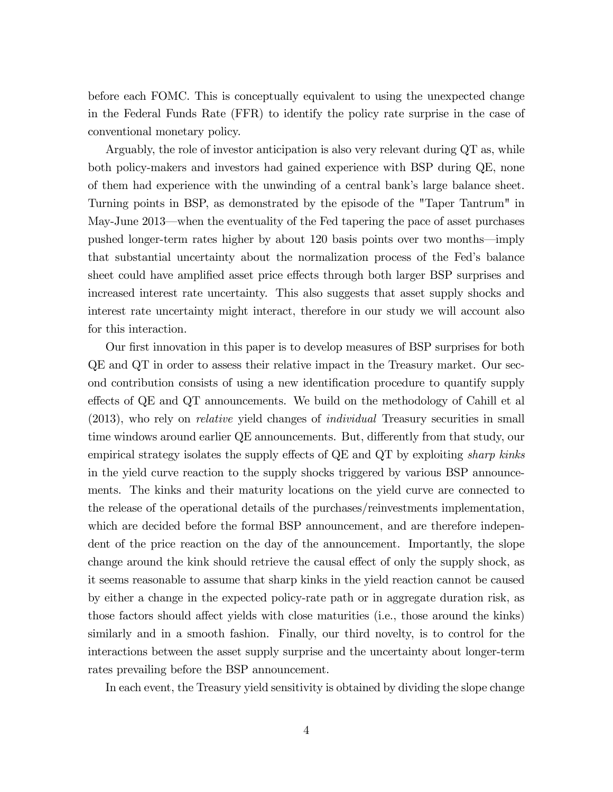before each FOMC. This is conceptually equivalent to using the unexpected change in the Federal Funds Rate (FFR) to identify the policy rate surprise in the case of conventional monetary policy.

Arguably, the role of investor anticipation is also very relevant during QT as, while both policy-makers and investors had gained experience with BSP during QE, none of them had experience with the unwinding of a central bankís large balance sheet. Turning points in BSP, as demonstrated by the episode of the "Taper Tantrum" in May-June 2013—when the eventuality of the Fed tapering the pace of asset purchases pushed longer-term rates higher by about 120 basis points over two months—imply that substantial uncertainty about the normalization process of the Fedís balance sheet could have amplified asset price effects through both larger BSP surprises and increased interest rate uncertainty. This also suggests that asset supply shocks and interest rate uncertainty might interact, therefore in our study we will account also for this interaction.

Our first innovation in this paper is to develop measures of BSP surprises for both QE and QT in order to assess their relative impact in the Treasury market. Our second contribution consists of using a new identification procedure to quantify supply effects of QE and QT announcements. We build on the methodology of Cahill et al (2013), who rely on relative yield changes of individual Treasury securities in small time windows around earlier QE announcements. But, differently from that study, our empirical strategy isolates the supply effects of  $QE$  and  $QT$  by exploiting sharp kinks in the yield curve reaction to the supply shocks triggered by various BSP announcements. The kinks and their maturity locations on the yield curve are connected to the release of the operational details of the purchases/reinvestments implementation, which are decided before the formal BSP announcement, and are therefore independent of the price reaction on the day of the announcement. Importantly, the slope change around the kink should retrieve the causal effect of only the supply shock, as it seems reasonable to assume that sharp kinks in the yield reaction cannot be caused by either a change in the expected policy-rate path or in aggregate duration risk, as those factors should affect yields with close maturities (i.e., those around the kinks) similarly and in a smooth fashion. Finally, our third novelty, is to control for the interactions between the asset supply surprise and the uncertainty about longer-term rates prevailing before the BSP announcement.

In each event, the Treasury yield sensitivity is obtained by dividing the slope change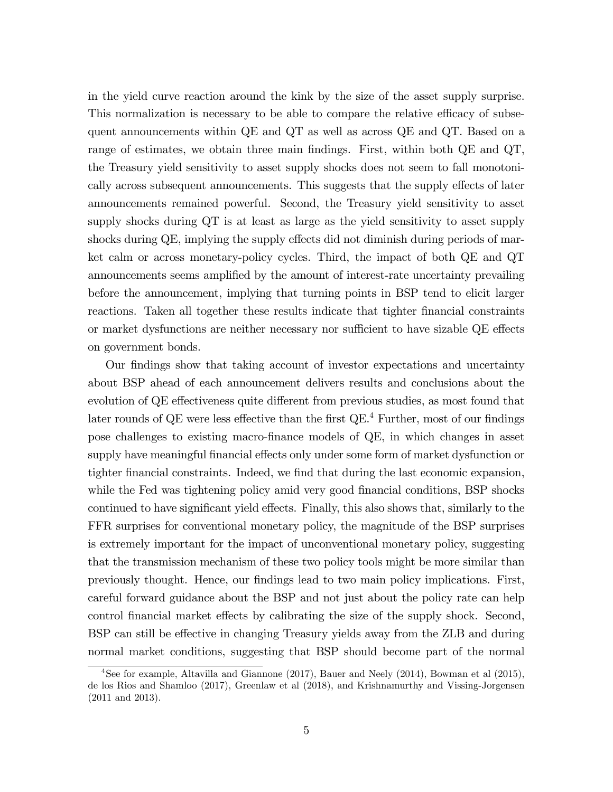in the yield curve reaction around the kink by the size of the asset supply surprise. This normalization is necessary to be able to compare the relative efficacy of subsequent announcements within QE and QT as well as across QE and QT. Based on a range of estimates, we obtain three main findings. First, within both QE and QT, the Treasury yield sensitivity to asset supply shocks does not seem to fall monotonically across subsequent announcements. This suggests that the supply effects of later announcements remained powerful. Second, the Treasury yield sensitivity to asset supply shocks during QT is at least as large as the yield sensitivity to asset supply shocks during QE, implying the supply effects did not diminish during periods of market calm or across monetary-policy cycles. Third, the impact of both QE and QT announcements seems amplified by the amount of interest-rate uncertainty prevailing before the announcement, implying that turning points in BSP tend to elicit larger reactions. Taken all together these results indicate that tighter financial constraints or market dysfunctions are neither necessary nor sufficient to have sizable QE effects on government bonds.

Our Öndings show that taking account of investor expectations and uncertainty about BSP ahead of each announcement delivers results and conclusions about the evolution of QE effectiveness quite different from previous studies, as most found that later rounds of  $\mathbb{Q}E$  were less effective than the first  $\mathbb{Q}E^4$  Further, most of our findings pose challenges to existing macro-Önance models of QE, in which changes in asset supply have meaningful financial effects only under some form of market dysfunction or tighter financial constraints. Indeed, we find that during the last economic expansion, while the Fed was tightening policy amid very good financial conditions, BSP shocks continued to have significant yield effects. Finally, this also shows that, similarly to the FFR surprises for conventional monetary policy, the magnitude of the BSP surprises is extremely important for the impact of unconventional monetary policy, suggesting that the transmission mechanism of these two policy tools might be more similar than previously thought. Hence, our Öndings lead to two main policy implications. First, careful forward guidance about the BSP and not just about the policy rate can help control financial market effects by calibrating the size of the supply shock. Second, BSP can still be effective in changing Treasury yields away from the ZLB and during normal market conditions, suggesting that BSP should become part of the normal

<sup>4</sup>See for example, Altavilla and Giannone (2017), Bauer and Neely (2014), Bowman et al (2015), de los Rios and Shamloo (2017), Greenlaw et al (2018), and Krishnamurthy and Vissing-Jorgensen (2011 and 2013).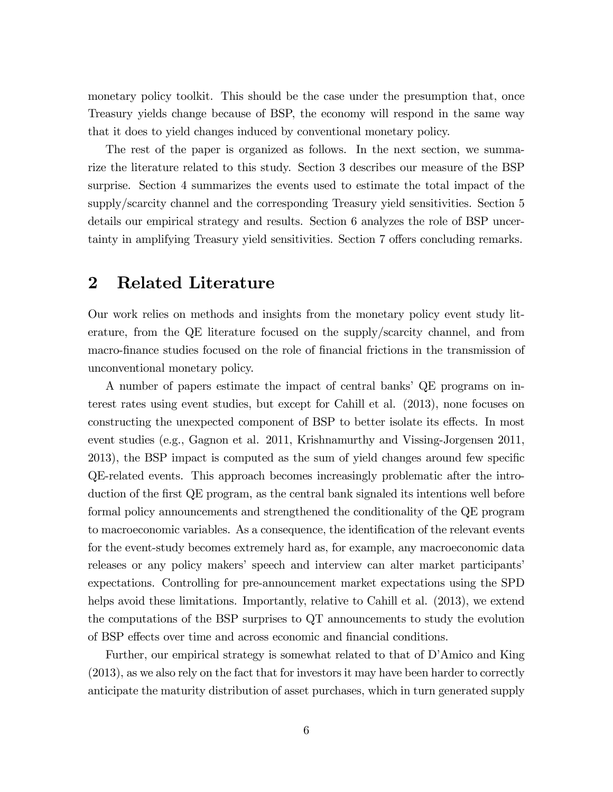monetary policy toolkit. This should be the case under the presumption that, once Treasury yields change because of BSP, the economy will respond in the same way that it does to yield changes induced by conventional monetary policy.

The rest of the paper is organized as follows. In the next section, we summarize the literature related to this study. Section 3 describes our measure of the BSP surprise. Section 4 summarizes the events used to estimate the total impact of the supply/scarcity channel and the corresponding Treasury yield sensitivities. Section 5 details our empirical strategy and results. Section 6 analyzes the role of BSP uncertainty in amplifying Treasury yield sensitivities. Section 7 offers concluding remarks.

## 2 Related Literature

Our work relies on methods and insights from the monetary policy event study literature, from the QE literature focused on the supply/scarcity channel, and from macro-finance studies focused on the role of financial frictions in the transmission of unconventional monetary policy.

A number of papers estimate the impact of central banks' QE programs on interest rates using event studies, but except for Cahill et al. (2013), none focuses on constructing the unexpected component of BSP to better isolate its effects. In most event studies (e.g., Gagnon et al. 2011, Krishnamurthy and Vissing-Jorgensen 2011, 2013), the BSP impact is computed as the sum of yield changes around few specific QE-related events. This approach becomes increasingly problematic after the introduction of the first QE program, as the central bank signaled its intentions well before formal policy announcements and strengthened the conditionality of the QE program to macroeconomic variables. As a consequence, the identification of the relevant events for the event-study becomes extremely hard as, for example, any macroeconomic data releases or any policy makers' speech and interview can alter market participants' expectations. Controlling for pre-announcement market expectations using the SPD helps avoid these limitations. Importantly, relative to Cahill et al. (2013), we extend the computations of the BSP surprises to QT announcements to study the evolution of BSP effects over time and across economic and financial conditions.

Further, our empirical strategy is somewhat related to that of D'Amico and King (2013), as we also rely on the fact that for investors it may have been harder to correctly anticipate the maturity distribution of asset purchases, which in turn generated supply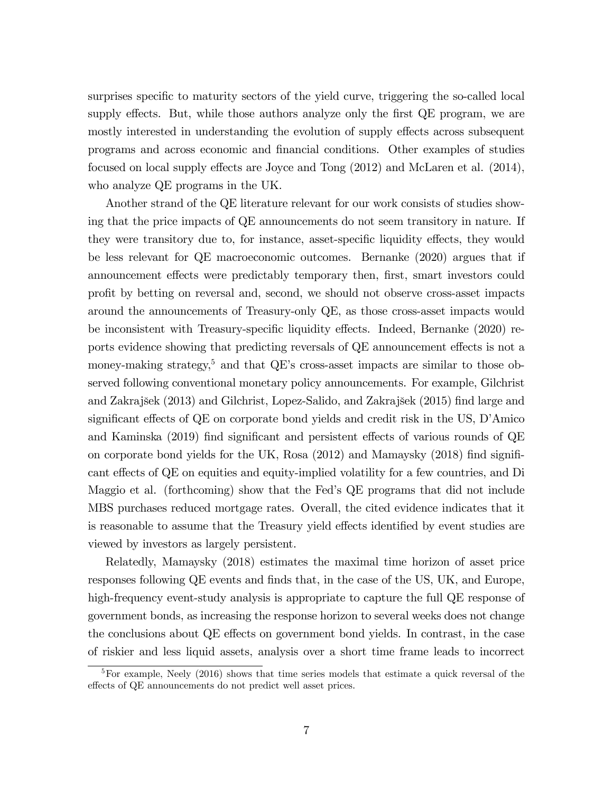surprises specific to maturity sectors of the yield curve, triggering the so-called local supply effects. But, while those authors analyze only the first QE program, we are mostly interested in understanding the evolution of supply effects across subsequent programs and across economic and Önancial conditions. Other examples of studies focused on local supply effects are Joyce and Tong  $(2012)$  and McLaren et al.  $(2014)$ , who analyze QE programs in the UK.

Another strand of the QE literature relevant for our work consists of studies showing that the price impacts of QE announcements do not seem transitory in nature. If they were transitory due to, for instance, asset-specific liquidity effects, they would be less relevant for QE macroeconomic outcomes. Bernanke (2020) argues that if announcement effects were predictably temporary then, first, smart investors could profit by betting on reversal and, second, we should not observe cross-asset impacts around the announcements of Treasury-only QE, as those cross-asset impacts would be inconsistent with Treasury-specific liquidity effects. Indeed, Bernanke (2020) reports evidence showing that predicting reversals of QE announcement effects is not a money-making strategy,<sup>5</sup> and that QE's cross-asset impacts are similar to those observed following conventional monetary policy announcements. For example, Gilchrist and Zakrajöek (2013) and Gilchrist, Lopez-Salido, and Zakrajöek (2015) Önd large and significant effects of  $QE$  on corporate bond yields and credit risk in the US, D'Amico and Kaminska  $(2019)$  find significant and persistent effects of various rounds of  $QE$ on corporate bond yields for the UK, Rosa  $(2012)$  and Mamaysky  $(2018)$  find significant effects of QE on equities and equity-implied volatility for a few countries, and Di Maggio et al. (forthcoming) show that the Fed's QE programs that did not include MBS purchases reduced mortgage rates. Overall, the cited evidence indicates that it is reasonable to assume that the Treasury yield effects identified by event studies are viewed by investors as largely persistent.

Relatedly, Mamaysky (2018) estimates the maximal time horizon of asset price responses following QE events and finds that, in the case of the US, UK, and Europe, high-frequency event-study analysis is appropriate to capture the full QE response of government bonds, as increasing the response horizon to several weeks does not change the conclusions about QE effects on government bond yields. In contrast, in the case of riskier and less liquid assets, analysis over a short time frame leads to incorrect

<sup>5</sup>For example, Neely (2016) shows that time series models that estimate a quick reversal of the effects of  $\mathrm{QE}$  announcements do not predict well asset prices.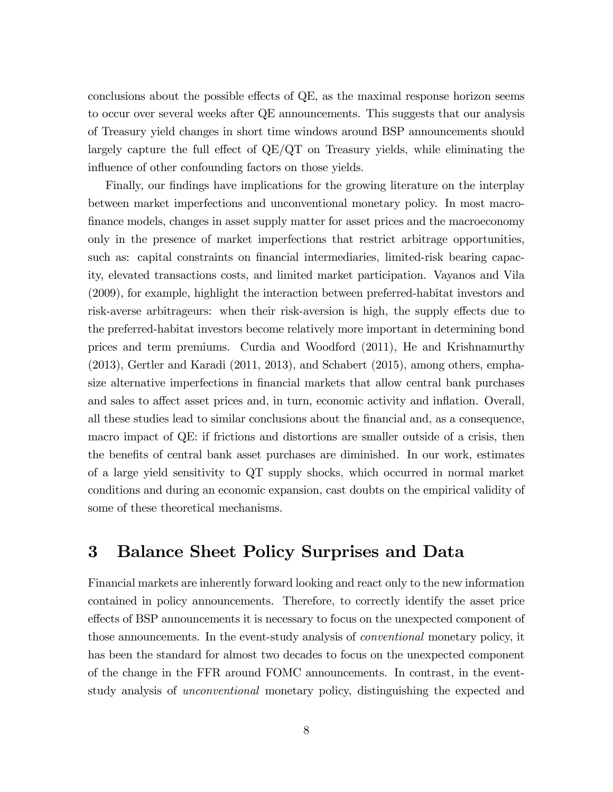conclusions about the possible effects of  $QE$ , as the maximal response horizon seems to occur over several weeks after QE announcements. This suggests that our analysis of Treasury yield changes in short time windows around BSP announcements should largely capture the full effect of  $QE/QT$  on Treasury yields, while eliminating the influence of other confounding factors on those yields.

Finally, our findings have implications for the growing literature on the interplay between market imperfections and unconventional monetary policy. In most macrofinance models, changes in asset supply matter for asset prices and the macroeconomy only in the presence of market imperfections that restrict arbitrage opportunities, such as: capital constraints on financial intermediaries, limited-risk bearing capacity, elevated transactions costs, and limited market participation. Vayanos and Vila (2009), for example, highlight the interaction between preferred-habitat investors and risk-averse arbitrageurs: when their risk-aversion is high, the supply effects due to the preferred-habitat investors become relatively more important in determining bond prices and term premiums. Curdia and Woodford (2011), He and Krishnamurthy (2013), Gertler and Karadi (2011, 2013), and Schabert (2015), among others, emphasize alternative imperfections in financial markets that allow central bank purchases and sales to affect asset prices and, in turn, economic activity and inflation. Overall, all these studies lead to similar conclusions about the Önancial and, as a consequence, macro impact of QE: if frictions and distortions are smaller outside of a crisis, then the benefits of central bank asset purchases are diminished. In our work, estimates of a large yield sensitivity to QT supply shocks, which occurred in normal market conditions and during an economic expansion, cast doubts on the empirical validity of some of these theoretical mechanisms.

## 3 Balance Sheet Policy Surprises and Data

Financial markets are inherently forward looking and react only to the new information contained in policy announcements. Therefore, to correctly identify the asset price effects of BSP announcements it is necessary to focus on the unexpected component of those announcements. In the event-study analysis of conventional monetary policy, it has been the standard for almost two decades to focus on the unexpected component of the change in the FFR around FOMC announcements. In contrast, in the eventstudy analysis of unconventional monetary policy, distinguishing the expected and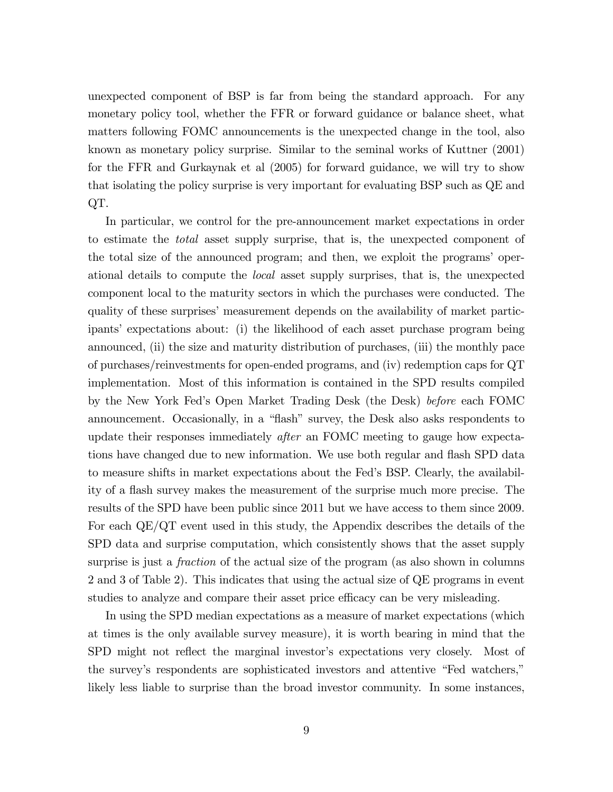unexpected component of BSP is far from being the standard approach. For any monetary policy tool, whether the FFR or forward guidance or balance sheet, what matters following FOMC announcements is the unexpected change in the tool, also known as monetary policy surprise. Similar to the seminal works of Kuttner (2001) for the FFR and Gurkaynak et al (2005) for forward guidance, we will try to show that isolating the policy surprise is very important for evaluating BSP such as QE and QT.

In particular, we control for the pre-announcement market expectations in order to estimate the total asset supply surprise, that is, the unexpected component of the total size of the announced program; and then, we exploit the programs' operational details to compute the local asset supply surprises, that is, the unexpected component local to the maturity sectors in which the purchases were conducted. The quality of these surprises' measurement depends on the availability of market participantsí expectations about: (i) the likelihood of each asset purchase program being announced, (ii) the size and maturity distribution of purchases, (iii) the monthly pace of purchases/reinvestments for open-ended programs, and (iv) redemption caps for QT implementation. Most of this information is contained in the SPD results compiled by the New York Fedís Open Market Trading Desk (the Desk) before each FOMC announcement. Occasionally, in a "flash" survey, the Desk also asks respondents to update their responses immediately after an FOMC meeting to gauge how expectations have changed due to new information. We use both regular and flash SPD data to measure shifts in market expectations about the Fedís BSP. Clearly, the availability of a áash survey makes the measurement of the surprise much more precise. The results of the SPD have been public since 2011 but we have access to them since 2009. For each QE/QT event used in this study, the Appendix describes the details of the SPD data and surprise computation, which consistently shows that the asset supply surprise is just a *fraction* of the actual size of the program (as also shown in columns 2 and 3 of Table 2). This indicates that using the actual size of QE programs in event studies to analyze and compare their asset price efficacy can be very misleading.

In using the SPD median expectations as a measure of market expectations (which at times is the only available survey measure), it is worth bearing in mind that the SPD might not reflect the marginal investor's expectations very closely. Most of the survey's respondents are sophisticated investors and attentive "Fed watchers," likely less liable to surprise than the broad investor community. In some instances,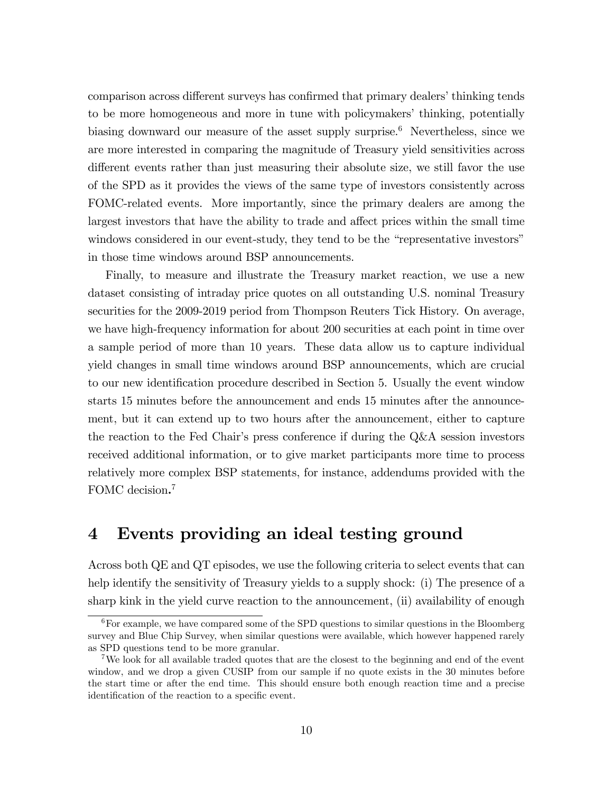comparison across different surveys has confirmed that primary dealers' thinking tends to be more homogeneous and more in tune with policymakers' thinking, potentially biasing downward our measure of the asset supply surprise.<sup>6</sup> Nevertheless, since we are more interested in comparing the magnitude of Treasury yield sensitivities across different events rather than just measuring their absolute size, we still favor the use of the SPD as it provides the views of the same type of investors consistently across FOMC-related events. More importantly, since the primary dealers are among the largest investors that have the ability to trade and affect prices within the small time windows considered in our event-study, they tend to be the "representative investors" in those time windows around BSP announcements.

Finally, to measure and illustrate the Treasury market reaction, we use a new dataset consisting of intraday price quotes on all outstanding U.S. nominal Treasury securities for the 2009-2019 period from Thompson Reuters Tick History. On average, we have high-frequency information for about 200 securities at each point in time over a sample period of more than 10 years. These data allow us to capture individual yield changes in small time windows around BSP announcements, which are crucial to our new identification procedure described in Section 5. Usually the event window starts 15 minutes before the announcement and ends 15 minutes after the announcement, but it can extend up to two hours after the announcement, either to capture the reaction to the Fed Chair's press conference if during the  $Q\&\text{A}$  session investors received additional information, or to give market participants more time to process relatively more complex BSP statements, for instance, addendums provided with the FOMC decision.<sup>7</sup>

## 4 Events providing an ideal testing ground

Across both QE and QT episodes, we use the following criteria to select events that can help identify the sensitivity of Treasury yields to a supply shock: (i) The presence of a sharp kink in the yield curve reaction to the announcement, (ii) availability of enough

 $6$  For example, we have compared some of the SPD questions to similar questions in the Bloomberg survey and Blue Chip Survey, when similar questions were available, which however happened rarely as SPD questions tend to be more granular.

<sup>7</sup>We look for all available traded quotes that are the closest to the beginning and end of the event window, and we drop a given CUSIP from our sample if no quote exists in the 30 minutes before the start time or after the end time. This should ensure both enough reaction time and a precise identification of the reaction to a specific event.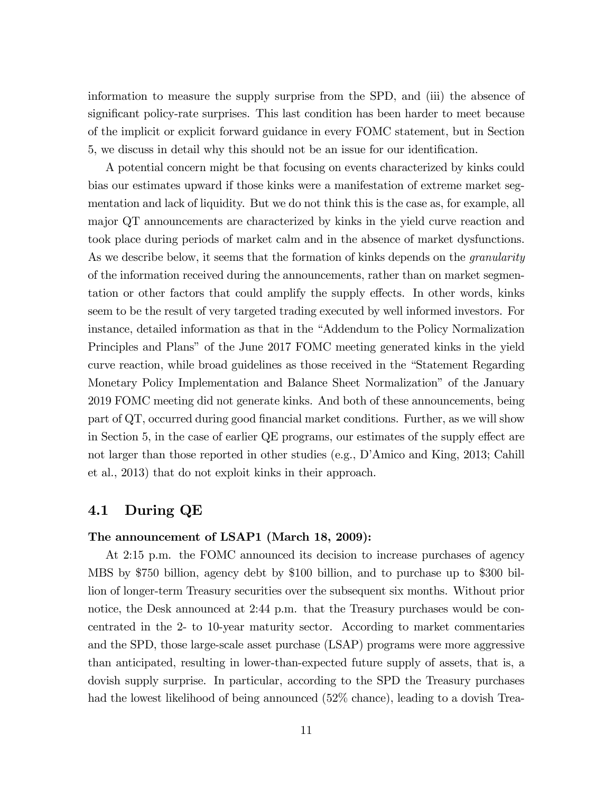information to measure the supply surprise from the SPD, and (iii) the absence of significant policy-rate surprises. This last condition has been harder to meet because of the implicit or explicit forward guidance in every FOMC statement, but in Section 5, we discuss in detail why this should not be an issue for our identification.

A potential concern might be that focusing on events characterized by kinks could bias our estimates upward if those kinks were a manifestation of extreme market segmentation and lack of liquidity. But we do not think this is the case as, for example, all major QT announcements are characterized by kinks in the yield curve reaction and took place during periods of market calm and in the absence of market dysfunctions. As we describe below, it seems that the formation of kinks depends on the *granularity* of the information received during the announcements, rather than on market segmentation or other factors that could amplify the supply effects. In other words, kinks seem to be the result of very targeted trading executed by well informed investors. For instance, detailed information as that in the "Addendum to the Policy Normalization" Principles and Plansî of the June 2017 FOMC meeting generated kinks in the yield curve reaction, while broad guidelines as those received in the "Statement Regarding" Monetary Policy Implementation and Balance Sheet Normalizationî of the January 2019 FOMC meeting did not generate kinks. And both of these announcements, being part of  $\mathbf{Q}$ , occurred during good financial market conditions. Further, as we will show in Section 5, in the case of earlier  $QE$  programs, our estimates of the supply effect are not larger than those reported in other studies (e.g., D'Amico and King, 2013; Cahill et al., 2013) that do not exploit kinks in their approach.

## 4.1 During QE

#### The announcement of LSAP1 (March 18, 2009):

At 2:15 p.m. the FOMC announced its decision to increase purchases of agency MBS by \$750 billion, agency debt by \$100 billion, and to purchase up to \$300 billion of longer-term Treasury securities over the subsequent six months. Without prior notice, the Desk announced at 2:44 p.m. that the Treasury purchases would be concentrated in the 2- to 10-year maturity sector. According to market commentaries and the SPD, those large-scale asset purchase (LSAP) programs were more aggressive than anticipated, resulting in lower-than-expected future supply of assets, that is, a dovish supply surprise. In particular, according to the SPD the Treasury purchases had the lowest likelihood of being announced (52% chance), leading to a dovish Trea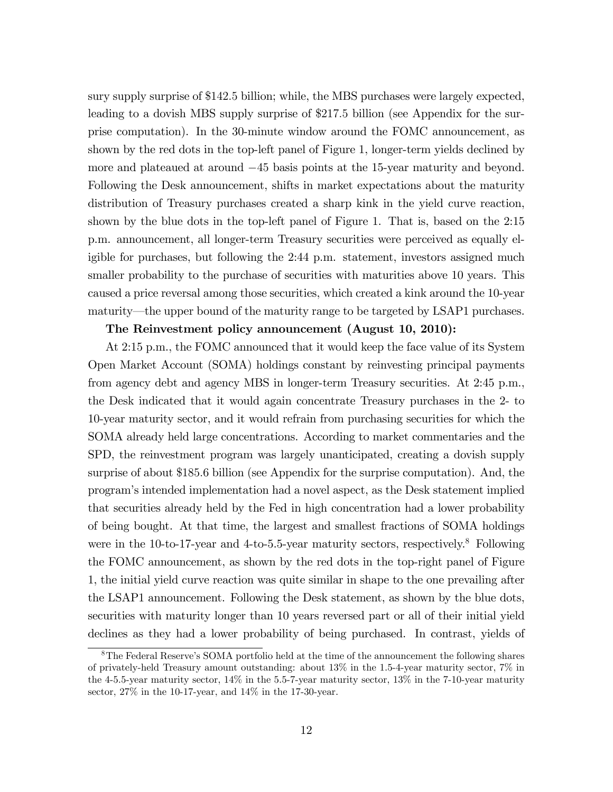sury supply surprise of \$142:5 billion; while, the MBS purchases were largely expected, leading to a dovish MBS supply surprise of \$217:5 billion (see Appendix for the surprise computation). In the 30-minute window around the FOMC announcement, as shown by the red dots in the top-left panel of Figure 1, longer-term yields declined by more and plateaued at around  $-45$  basis points at the 15-year maturity and beyond. Following the Desk announcement, shifts in market expectations about the maturity distribution of Treasury purchases created a sharp kink in the yield curve reaction, shown by the blue dots in the top-left panel of Figure 1. That is, based on the 2:15 p.m. announcement, all longer-term Treasury securities were perceived as equally eligible for purchases, but following the 2:44 p.m. statement, investors assigned much smaller probability to the purchase of securities with maturities above 10 years. This caused a price reversal among those securities, which created a kink around the 10-year maturity—the upper bound of the maturity range to be targeted by LSAP1 purchases.

#### The Reinvestment policy announcement (August 10, 2010):

At 2:15 p.m., the FOMC announced that it would keep the face value of its System Open Market Account (SOMA) holdings constant by reinvesting principal payments from agency debt and agency MBS in longer-term Treasury securities. At 2:45 p.m., the Desk indicated that it would again concentrate Treasury purchases in the 2- to 10-year maturity sector, and it would refrain from purchasing securities for which the SOMA already held large concentrations. According to market commentaries and the SPD, the reinvestment program was largely unanticipated, creating a dovish supply surprise of about \$185:6 billion (see Appendix for the surprise computation). And, the programís intended implementation had a novel aspect, as the Desk statement implied that securities already held by the Fed in high concentration had a lower probability of being bought. At that time, the largest and smallest fractions of SOMA holdings were in the 10-to-17-year and 4-to-5.5-year maturity sectors, respectively.<sup>8</sup> Following the FOMC announcement, as shown by the red dots in the top-right panel of Figure 1, the initial yield curve reaction was quite similar in shape to the one prevailing after the LSAP1 announcement. Following the Desk statement, as shown by the blue dots, securities with maturity longer than 10 years reversed part or all of their initial yield declines as they had a lower probability of being purchased. In contrast, yields of

<sup>&</sup>lt;sup>8</sup>The Federal Reserve's SOMA portfolio held at the time of the announcement the following shares of privately-held Treasury amount outstanding: about 13% in the 1.5-4-year maturity sector, 7% in the 4-5.5-year maturity sector, 14% in the 5.5-7-year maturity sector, 13% in the 7-10-year maturity sector, 27% in the 10-17-year, and 14% in the 17-30-year.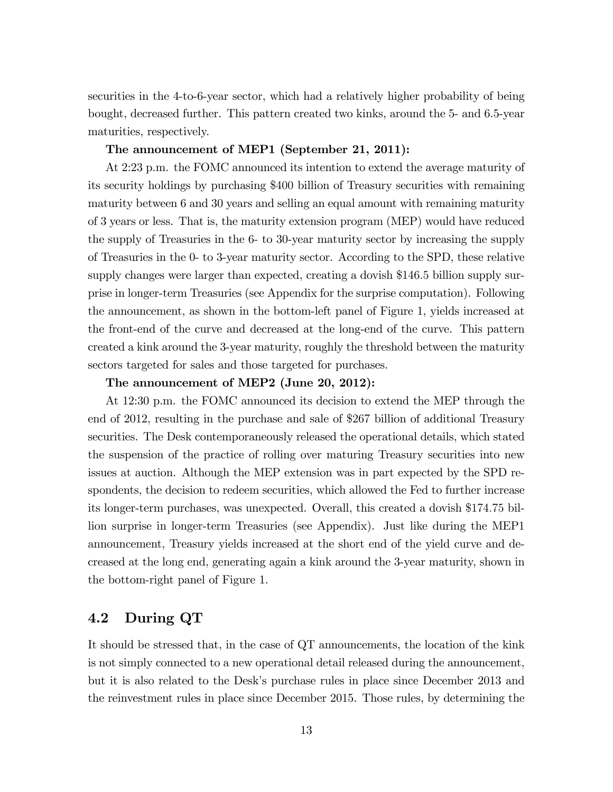securities in the 4-to-6-year sector, which had a relatively higher probability of being bought, decreased further. This pattern created two kinks, around the 5- and 6.5-year maturities, respectively.

#### The announcement of MEP1 (September 21, 2011):

At 2:23 p.m. the FOMC announced its intention to extend the average maturity of its security holdings by purchasing \$400 billion of Treasury securities with remaining maturity between 6 and 30 years and selling an equal amount with remaining maturity of 3 years or less. That is, the maturity extension program (MEP) would have reduced the supply of Treasuries in the 6- to 30-year maturity sector by increasing the supply of Treasuries in the 0- to 3-year maturity sector. According to the SPD, these relative supply changes were larger than expected, creating a dovish \$146:5 billion supply surprise in longer-term Treasuries (see Appendix for the surprise computation). Following the announcement, as shown in the bottom-left panel of Figure 1, yields increased at the front-end of the curve and decreased at the long-end of the curve. This pattern created a kink around the 3-year maturity, roughly the threshold between the maturity sectors targeted for sales and those targeted for purchases.

#### The announcement of MEP2 (June 20, 2012):

At 12:30 p.m. the FOMC announced its decision to extend the MEP through the end of 2012, resulting in the purchase and sale of \$267 billion of additional Treasury securities. The Desk contemporaneously released the operational details, which stated the suspension of the practice of rolling over maturing Treasury securities into new issues at auction. Although the MEP extension was in part expected by the SPD respondents, the decision to redeem securities, which allowed the Fed to further increase its longer-term purchases, was unexpected. Overall, this created a dovish \$174:75 billion surprise in longer-term Treasuries (see Appendix). Just like during the MEP1 announcement, Treasury yields increased at the short end of the yield curve and decreased at the long end, generating again a kink around the 3-year maturity, shown in the bottom-right panel of Figure 1.

## 4.2 During QT

It should be stressed that, in the case of QT announcements, the location of the kink is not simply connected to a new operational detail released during the announcement, but it is also related to the Deskís purchase rules in place since December 2013 and the reinvestment rules in place since December 2015. Those rules, by determining the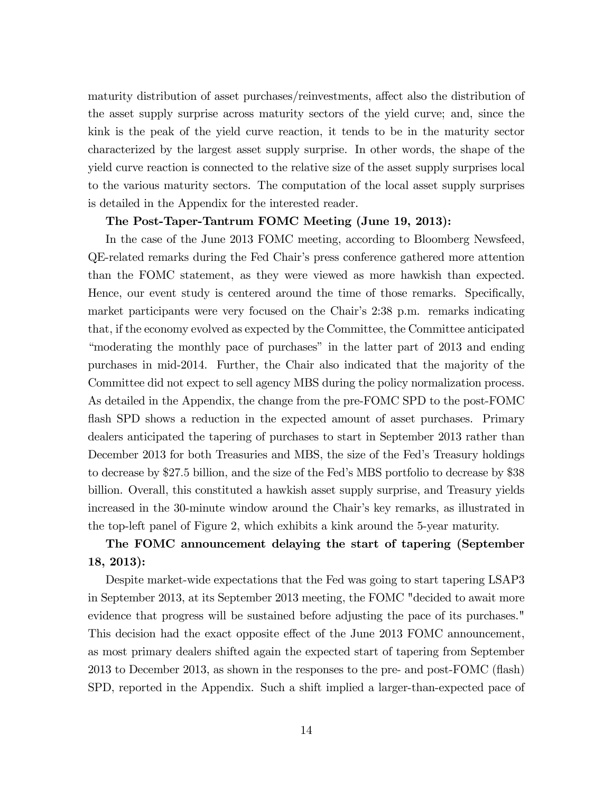maturity distribution of asset purchases/reinvestments, affect also the distribution of the asset supply surprise across maturity sectors of the yield curve; and, since the kink is the peak of the yield curve reaction, it tends to be in the maturity sector characterized by the largest asset supply surprise. In other words, the shape of the yield curve reaction is connected to the relative size of the asset supply surprises local to the various maturity sectors. The computation of the local asset supply surprises is detailed in the Appendix for the interested reader.

#### The Post-Taper-Tantrum FOMC Meeting (June 19, 2013):

In the case of the June 2013 FOMC meeting, according to Bloomberg Newsfeed, QE-related remarks during the Fed Chairís press conference gathered more attention than the FOMC statement, as they were viewed as more hawkish than expected. Hence, our event study is centered around the time of those remarks. Specifically, market participants were very focused on the Chair's 2:38 p.m. remarks indicating that, if the economy evolved as expected by the Committee, the Committee anticipated "moderating the monthly pace of purchases" in the latter part of 2013 and ending purchases in mid-2014. Further, the Chair also indicated that the majority of the Committee did not expect to sell agency MBS during the policy normalization process. As detailed in the Appendix, the change from the pre-FOMC SPD to the post-FOMC flash SPD shows a reduction in the expected amount of asset purchases. Primary dealers anticipated the tapering of purchases to start in September 2013 rather than December 2013 for both Treasuries and MBS, the size of the Fedís Treasury holdings to decrease by \$27.5 billion, and the size of the Fed's MBS portfolio to decrease by \$38 billion. Overall, this constituted a hawkish asset supply surprise, and Treasury yields increased in the 30-minute window around the Chair's key remarks, as illustrated in the top-left panel of Figure 2, which exhibits a kink around the 5-year maturity.

## The FOMC announcement delaying the start of tapering (September 18, 2013):

Despite market-wide expectations that the Fed was going to start tapering LSAP3 in September 2013, at its September 2013 meeting, the FOMC "decided to await more evidence that progress will be sustained before adjusting the pace of its purchases." This decision had the exact opposite effect of the June 2013 FOMC announcement, as most primary dealers shifted again the expected start of tapering from September 2013 to December 2013, as shown in the responses to the pre- and post-FOMC (áash) SPD, reported in the Appendix. Such a shift implied a larger-than-expected pace of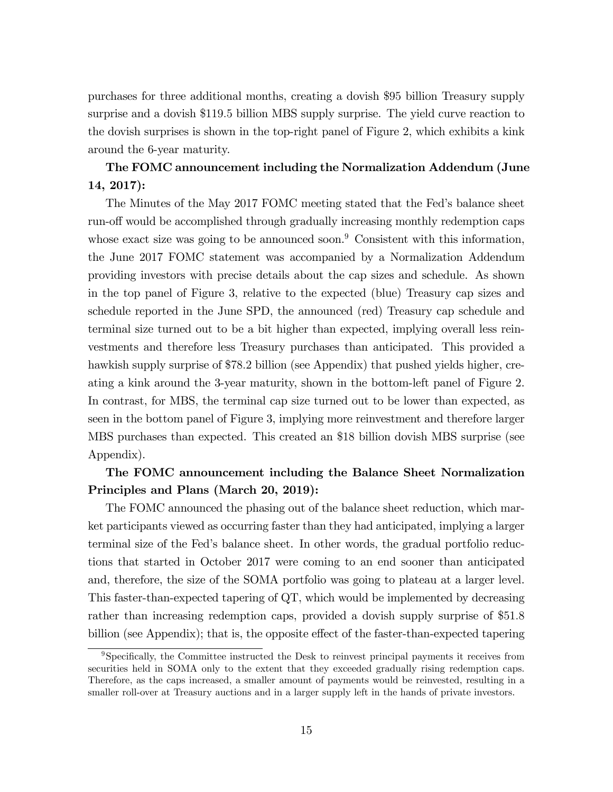purchases for three additional months, creating a dovish \$95 billion Treasury supply surprise and a dovish \$119:5 billion MBS supply surprise. The yield curve reaction to the dovish surprises is shown in the top-right panel of Figure 2, which exhibits a kink around the 6-year maturity.

## The FOMC announcement including the Normalization Addendum (June 14, 2017):

The Minutes of the May 2017 FOMC meeting stated that the Fed's balance sheet run-off would be accomplished through gradually increasing monthly redemption caps whose exact size was going to be announced soon.<sup>9</sup> Consistent with this information, the June 2017 FOMC statement was accompanied by a Normalization Addendum providing investors with precise details about the cap sizes and schedule. As shown in the top panel of Figure 3, relative to the expected (blue) Treasury cap sizes and schedule reported in the June SPD, the announced (red) Treasury cap schedule and terminal size turned out to be a bit higher than expected, implying overall less reinvestments and therefore less Treasury purchases than anticipated. This provided a hawkish supply surprise of \$78:2 billion (see Appendix) that pushed yields higher, creating a kink around the 3-year maturity, shown in the bottom-left panel of Figure 2. In contrast, for MBS, the terminal cap size turned out to be lower than expected, as seen in the bottom panel of Figure 3, implying more reinvestment and therefore larger MBS purchases than expected. This created an \$18 billion dovish MBS surprise (see Appendix).

## The FOMC announcement including the Balance Sheet Normalization Principles and Plans (March 20, 2019):

The FOMC announced the phasing out of the balance sheet reduction, which market participants viewed as occurring faster than they had anticipated, implying a larger terminal size of the Fed's balance sheet. In other words, the gradual portfolio reductions that started in October 2017 were coming to an end sooner than anticipated and, therefore, the size of the SOMA portfolio was going to plateau at a larger level. This faster-than-expected tapering of QT, which would be implemented by decreasing rather than increasing redemption caps, provided a dovish supply surprise of \$51:8 billion (see Appendix); that is, the opposite effect of the faster-than-expected tapering

<sup>&</sup>lt;sup>9</sup>Specifically, the Committee instructed the Desk to reinvest principal payments it receives from securities held in SOMA only to the extent that they exceeded gradually rising redemption caps. Therefore, as the caps increased, a smaller amount of payments would be reinvested, resulting in a smaller roll-over at Treasury auctions and in a larger supply left in the hands of private investors.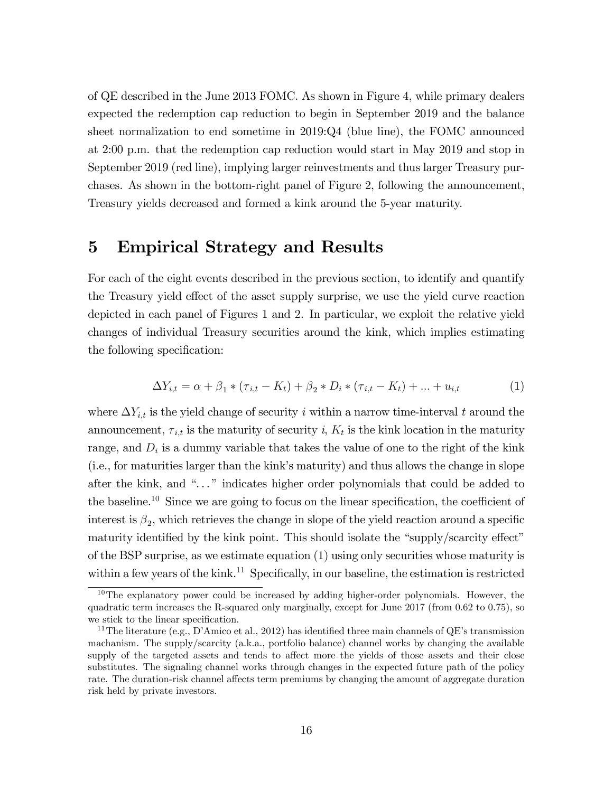of QE described in the June 2013 FOMC. As shown in Figure 4, while primary dealers expected the redemption cap reduction to begin in September 2019 and the balance sheet normalization to end sometime in 2019:Q4 (blue line), the FOMC announced at 2:00 p.m. that the redemption cap reduction would start in May 2019 and stop in September 2019 (red line), implying larger reinvestments and thus larger Treasury purchases. As shown in the bottom-right panel of Figure 2, following the announcement, Treasury yields decreased and formed a kink around the 5-year maturity.

## 5 Empirical Strategy and Results

For each of the eight events described in the previous section, to identify and quantify the Treasury yield effect of the asset supply surprise, we use the yield curve reaction depicted in each panel of Figures 1 and 2. In particular, we exploit the relative yield changes of individual Treasury securities around the kink, which implies estimating the following specification:

$$
\Delta Y_{i,t} = \alpha + \beta_1 * (\tau_{i,t} - K_t) + \beta_2 * D_i * (\tau_{i,t} - K_t) + \dots + u_{i,t}
$$
 (1)

where  $\Delta Y_{i,t}$  is the yield change of security i within a narrow time-interval t around the announcement,  $\tau_{i,t}$  is the maturity of security i,  $K_t$  is the kink location in the maturity range, and  $D_i$  is a dummy variable that takes the value of one to the right of the kink (i.e., for maturities larger than the kinkís maturity) and thus allows the change in slope after the kink, and "..." indicates higher order polynomials that could be added to the baseline.<sup>10</sup> Since we are going to focus on the linear specification, the coefficient of interest is  $\beta_2$ , which retrieves the change in slope of the yield reaction around a specific maturity identified by the kink point. This should isolate the "supply/scarcity effect" of the BSP surprise, as we estimate equation (1) using only securities whose maturity is within a few years of the kink.<sup>11</sup> Specifically, in our baseline, the estimation is restricted

<sup>&</sup>lt;sup>10</sup>The explanatory power could be increased by adding higher-order polynomials. However, the quadratic term increases the R-squared only marginally, except for June 2017 (from 0.62 to 0.75), so we stick to the linear specification.

<sup>&</sup>lt;sup>11</sup>The literature (e.g., D'Amico et al., 2012) has identified three main channels of QE's transmission machanism. The supply/scarcity (a.k.a., portfolio balance) channel works by changing the available supply of the targeted assets and tends to affect more the yields of those assets and their close substitutes. The signaling channel works through changes in the expected future path of the policy rate. The duration-risk channel affects term premiums by changing the amount of aggregate duration risk held by private investors.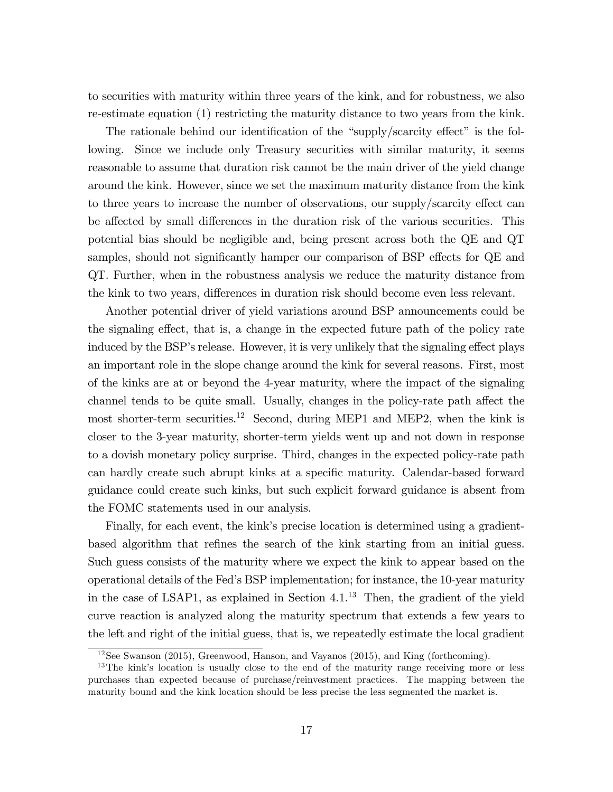to securities with maturity within three years of the kink, and for robustness, we also re-estimate equation (1) restricting the maturity distance to two years from the kink.

The rationale behind our identification of the "supply/scarcity effect" is the following. Since we include only Treasury securities with similar maturity, it seems reasonable to assume that duration risk cannot be the main driver of the yield change around the kink. However, since we set the maximum maturity distance from the kink to three years to increase the number of observations, our supply/scarcity effect can be affected by small differences in the duration risk of the various securities. This potential bias should be negligible and, being present across both the QE and QT samples, should not significantly hamper our comparison of BSP effects for QE and QT. Further, when in the robustness analysis we reduce the maturity distance from the kink to two years, differences in duration risk should become even less relevant.

Another potential driver of yield variations around BSP announcements could be the signaling effect, that is, a change in the expected future path of the policy rate induced by the BSP's release. However, it is very unlikely that the signaling effect plays an important role in the slope change around the kink for several reasons. First, most of the kinks are at or beyond the 4-year maturity, where the impact of the signaling channel tends to be quite small. Usually, changes in the policy-rate path affect the most shorter-term securities.<sup>12</sup> Second, during MEP1 and MEP2, when the kink is closer to the 3-year maturity, shorter-term yields went up and not down in response to a dovish monetary policy surprise. Third, changes in the expected policy-rate path can hardly create such abrupt kinks at a specific maturity. Calendar-based forward guidance could create such kinks, but such explicit forward guidance is absent from the FOMC statements used in our analysis.

Finally, for each event, the kink's precise location is determined using a gradientbased algorithm that refines the search of the kink starting from an initial guess. Such guess consists of the maturity where we expect the kink to appear based on the operational details of the Fedís BSP implementation; for instance, the 10-year maturity in the case of LSAP1, as explained in Section  $4.1^{13}$  Then, the gradient of the yield curve reaction is analyzed along the maturity spectrum that extends a few years to the left and right of the initial guess, that is, we repeatedly estimate the local gradient

<sup>12</sup>See Swanson (2015), Greenwood, Hanson, and Vayanos (2015), and King (forthcoming).

<sup>&</sup>lt;sup>13</sup>The kink's location is usually close to the end of the maturity range receiving more or less purchases than expected because of purchase/reinvestment practices. The mapping between the maturity bound and the kink location should be less precise the less segmented the market is.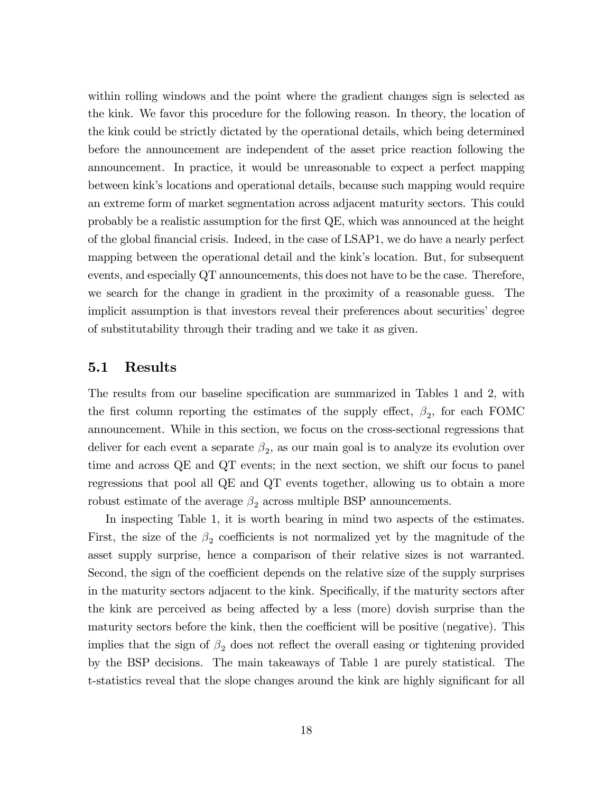within rolling windows and the point where the gradient changes sign is selected as the kink. We favor this procedure for the following reason. In theory, the location of the kink could be strictly dictated by the operational details, which being determined before the announcement are independent of the asset price reaction following the announcement. In practice, it would be unreasonable to expect a perfect mapping between kinkís locations and operational details, because such mapping would require an extreme form of market segmentation across adjacent maturity sectors. This could probably be a realistic assumption for the Örst QE, which was announced at the height of the global Önancial crisis. Indeed, in the case of LSAP1, we do have a nearly perfect mapping between the operational detail and the kink's location. But, for subsequent events, and especially QT announcements, this does not have to be the case. Therefore, we search for the change in gradient in the proximity of a reasonable guess. The implicit assumption is that investors reveal their preferences about securities' degree of substitutability through their trading and we take it as given.

### 5.1 Results

The results from our baseline specification are summarized in Tables 1 and 2, with the first column reporting the estimates of the supply effect,  $\beta_2$ , for each FOMC announcement. While in this section, we focus on the cross-sectional regressions that deliver for each event a separate  $\beta_2$ , as our main goal is to analyze its evolution over time and across QE and QT events; in the next section, we shift our focus to panel regressions that pool all QE and QT events together, allowing us to obtain a more robust estimate of the average  $\beta_2$  across multiple BSP announcements.

In inspecting Table 1, it is worth bearing in mind two aspects of the estimates. First, the size of the  $\beta_2$  coefficients is not normalized yet by the magnitude of the asset supply surprise, hence a comparison of their relative sizes is not warranted. Second, the sign of the coefficient depends on the relative size of the supply surprises in the maturity sectors adjacent to the kink. Specifically, if the maturity sectors after the kink are perceived as being affected by a less (more) dovish surprise than the maturity sectors before the kink, then the coefficient will be positive (negative). This implies that the sign of  $\beta_2$  does not reflect the overall easing or tightening provided by the BSP decisions. The main takeaways of Table 1 are purely statistical. The t-statistics reveal that the slope changes around the kink are highly significant for all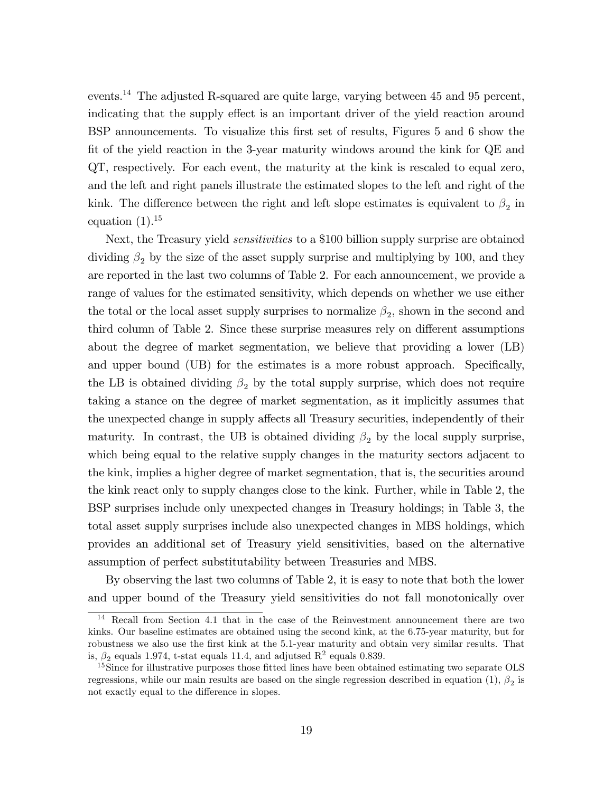events.<sup>14</sup> The adjusted R-squared are quite large, varying between 45 and 95 percent, indicating that the supply effect is an important driver of the yield reaction around BSP announcements. To visualize this Örst set of results, Figures 5 and 6 show the fit of the yield reaction in the 3-year maturity windows around the kink for QE and QT, respectively. For each event, the maturity at the kink is rescaled to equal zero, and the left and right panels illustrate the estimated slopes to the left and right of the kink. The difference between the right and left slope estimates is equivalent to  $\beta_2$  in equation  $(1).^{15}$ 

Next, the Treasury yield *sensitivities* to a \$100 billion supply surprise are obtained dividing  $\beta_2$  by the size of the asset supply surprise and multiplying by 100, and they are reported in the last two columns of Table 2. For each announcement, we provide a range of values for the estimated sensitivity, which depends on whether we use either the total or the local asset supply surprises to normalize  $\beta_2$ , shown in the second and third column of Table 2. Since these surprise measures rely on different assumptions about the degree of market segmentation, we believe that providing a lower (LB) and upper bound (UB) for the estimates is a more robust approach. Specifically, the LB is obtained dividing  $\beta_2$  by the total supply surprise, which does not require taking a stance on the degree of market segmentation, as it implicitly assumes that the unexpected change in supply affects all Treasury securities, independently of their maturity. In contrast, the UB is obtained dividing  $\beta_2$  by the local supply surprise, which being equal to the relative supply changes in the maturity sectors adjacent to the kink, implies a higher degree of market segmentation, that is, the securities around the kink react only to supply changes close to the kink. Further, while in Table 2, the BSP surprises include only unexpected changes in Treasury holdings; in Table 3, the total asset supply surprises include also unexpected changes in MBS holdings, which provides an additional set of Treasury yield sensitivities, based on the alternative assumption of perfect substitutability between Treasuries and MBS.

By observing the last two columns of Table 2, it is easy to note that both the lower and upper bound of the Treasury yield sensitivities do not fall monotonically over

<sup>&</sup>lt;sup>14</sup> Recall from Section 4.1 that in the case of the Reinvestment announcement there are two kinks. Our baseline estimates are obtained using the second kink, at the 6.75-year maturity, but for robustness we also use the first kink at the 5.1-year maturity and obtain very similar results. That is,  $\beta_2$  equals 1.974, t-stat equals 11.4, and adjutsed  $\mathbb{R}^2$  equals 0.839.

<sup>&</sup>lt;sup>15</sup>Since for illustrative purposes those fitted lines have been obtained estimating two separate OLS regressions, while our main results are based on the single regression described in equation (1),  $\beta_2$  is not exactly equal to the difference in slopes.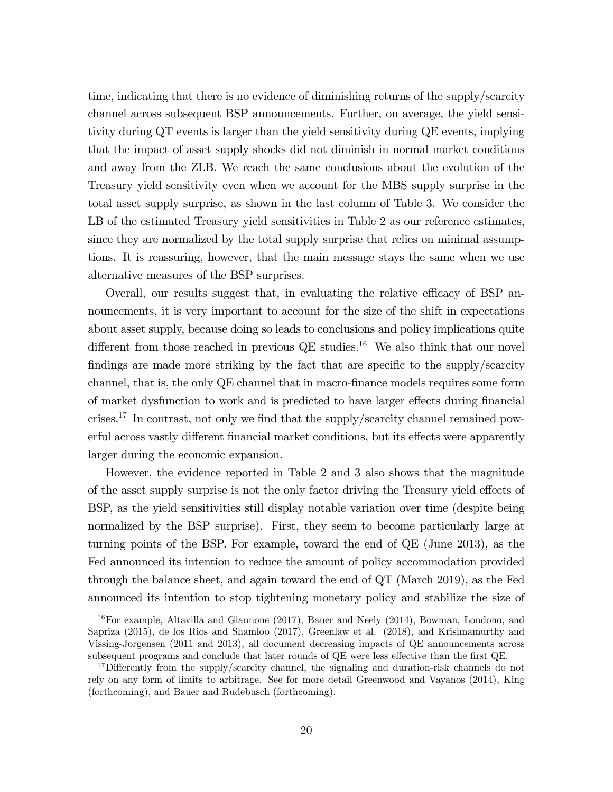time, indicating that there is no evidence of diminishing returns of the supply/scarcity channel across subsequent BSP announcements. Further, on average, the yield sensitivity during QT events is larger than the yield sensitivity during QE events, implying that the impact of asset supply shocks did not diminish in normal market conditions and away from the ZLB. We reach the same conclusions about the evolution of the Treasury yield sensitivity even when we account for the MBS supply surprise in the total asset supply surprise, as shown in the last column of Table 3. We consider the LB of the estimated Treasury yield sensitivities in Table 2 as our reference estimates, since they are normalized by the total supply surprise that relies on minimal assumptions. It is reassuring, however, that the main message stays the same when we use alternative measures of the BSP surprises.

Overall, our results suggest that, in evaluating the relative efficacy of BSP announcements, it is very important to account for the size of the shift in expectations about asset supply, because doing so leads to conclusions and policy implications quite different from those reached in previous  $QE$  studies.<sup>16</sup> We also think that our novel findings are made more striking by the fact that are specific to the supply/scarcity channel, that is, the only  $\mathbb{Q}E$  channel that in macro-finance models requires some form of market dysfunction to work and is predicted to have larger effects during financial crises.<sup>17</sup> In contrast, not only we find that the supply/scarcity channel remained powerful across vastly different financial market conditions, but its effects were apparently larger during the economic expansion.

However, the evidence reported in Table 2 and 3 also shows that the magnitude of the asset supply surprise is not the only factor driving the Treasury yield effects of BSP, as the yield sensitivities still display notable variation over time (despite being normalized by the BSP surprise). First, they seem to become particularly large at turning points of the BSP. For example, toward the end of QE (June 2013), as the Fed announced its intention to reduce the amount of policy accommodation provided through the balance sheet, and again toward the end of QT (March 2019), as the Fed announced its intention to stop tightening monetary policy and stabilize the size of

<sup>16</sup>For example, Altavilla and Giannone (2017), Bauer and Neely (2014), Bowman, Londono, and Sapriza (2015), de los Rios and Shamloo (2017), Greenlaw et al. (2018), and Krishnamurthy and Vissing-Jorgensen (2011 and 2013), all document decreasing impacts of QE announcements across subsequent programs and conclude that later rounds of  $QE$  were less effective than the first  $QE$ .

<sup>&</sup>lt;sup>17</sup>Differently from the supply/scarcity channel, the signaling and duration-risk channels do not rely on any form of limits to arbitrage. See for more detail Greenwood and Vayanos (2014), King (forthcoming), and Bauer and Rudebusch (forthcoming).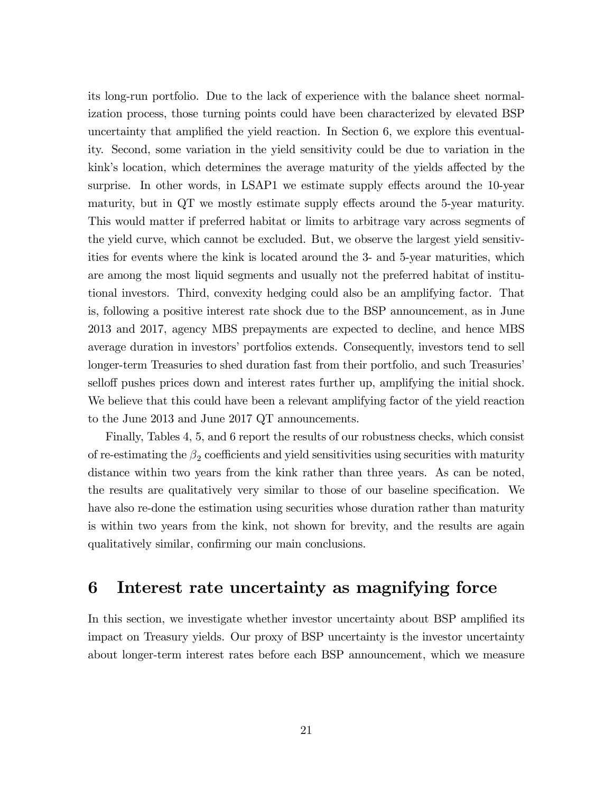its long-run portfolio. Due to the lack of experience with the balance sheet normalization process, those turning points could have been characterized by elevated BSP uncertainty that amplified the yield reaction. In Section 6, we explore this eventuality. Second, some variation in the yield sensitivity could be due to variation in the kink's location, which determines the average maturity of the yields affected by the surprise. In other words, in LSAP1 we estimate supply effects around the 10-year maturity, but in  $\overline{QT}$  we mostly estimate supply effects around the 5-year maturity. This would matter if preferred habitat or limits to arbitrage vary across segments of the yield curve, which cannot be excluded. But, we observe the largest yield sensitivities for events where the kink is located around the 3- and 5-year maturities, which are among the most liquid segments and usually not the preferred habitat of institutional investors. Third, convexity hedging could also be an amplifying factor. That is, following a positive interest rate shock due to the BSP announcement, as in June 2013 and 2017, agency MBS prepayments are expected to decline, and hence MBS average duration in investors' portfolios extends. Consequently, investors tend to sell longer-term Treasuries to shed duration fast from their portfolio, and such Treasuries<sup>7</sup> selloff pushes prices down and interest rates further up, amplifying the initial shock. We believe that this could have been a relevant amplifying factor of the yield reaction to the June 2013 and June 2017 QT announcements.

Finally, Tables 4, 5, and 6 report the results of our robustness checks, which consist of re-estimating the  $\beta_2$  coefficients and yield sensitivities using securities with maturity distance within two years from the kink rather than three years. As can be noted, the results are qualitatively very similar to those of our baseline specification. We have also re-done the estimation using securities whose duration rather than maturity is within two years from the kink, not shown for brevity, and the results are again qualitatively similar, confirming our main conclusions.

## 6 Interest rate uncertainty as magnifying force

In this section, we investigate whether investor uncertainty about BSP amplified its impact on Treasury yields. Our proxy of BSP uncertainty is the investor uncertainty about longer-term interest rates before each BSP announcement, which we measure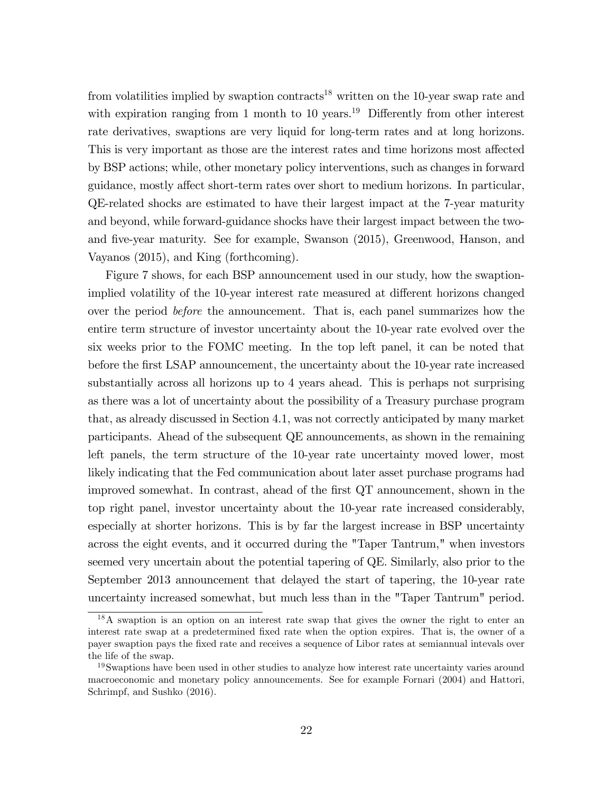from volatilities implied by swaption contracts<sup>18</sup> written on the 10-year swap rate and with expiration ranging from 1 month to 10 years.<sup>19</sup> Differently from other interest rate derivatives, swaptions are very liquid for long-term rates and at long horizons. This is very important as those are the interest rates and time horizons most affected by BSP actions; while, other monetary policy interventions, such as changes in forward guidance, mostly affect short-term rates over short to medium horizons. In particular, QE-related shocks are estimated to have their largest impact at the 7-year maturity and beyond, while forward-guidance shocks have their largest impact between the twoand five-year maturity. See for example, Swanson (2015), Greenwood, Hanson, and Vayanos (2015), and King (forthcoming).

Figure 7 shows, for each BSP announcement used in our study, how the swaptionimplied volatility of the 10-year interest rate measured at different horizons changed over the period before the announcement. That is, each panel summarizes how the entire term structure of investor uncertainty about the 10-year rate evolved over the six weeks prior to the FOMC meeting. In the top left panel, it can be noted that before the first LSAP announcement, the uncertainty about the 10-year rate increased substantially across all horizons up to 4 years ahead. This is perhaps not surprising as there was a lot of uncertainty about the possibility of a Treasury purchase program that, as already discussed in Section 4.1, was not correctly anticipated by many market participants. Ahead of the subsequent QE announcements, as shown in the remaining left panels, the term structure of the 10-year rate uncertainty moved lower, most likely indicating that the Fed communication about later asset purchase programs had improved somewhat. In contrast, ahead of the first QT announcement, shown in the top right panel, investor uncertainty about the 10-year rate increased considerably, especially at shorter horizons. This is by far the largest increase in BSP uncertainty across the eight events, and it occurred during the "Taper Tantrum," when investors seemed very uncertain about the potential tapering of QE. Similarly, also prior to the September 2013 announcement that delayed the start of tapering, the 10-year rate uncertainty increased somewhat, but much less than in the "Taper Tantrum" period.

<sup>&</sup>lt;sup>18</sup>A swaption is an option on an interest rate swap that gives the owner the right to enter an interest rate swap at a predetermined fixed rate when the option expires. That is, the owner of a payer swaption pays the Öxed rate and receives a sequence of Libor rates at semiannual intevals over the life of the swap.

<sup>&</sup>lt;sup>19</sup>Swaptions have been used in other studies to analyze how interest rate uncertainty varies around macroeconomic and monetary policy announcements. See for example Fornari (2004) and Hattori, Schrimpf, and Sushko (2016).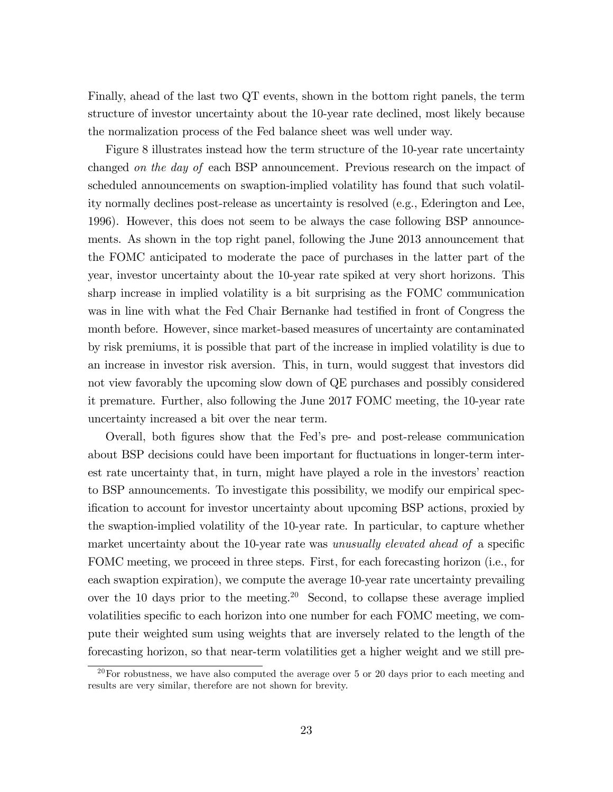Finally, ahead of the last two QT events, shown in the bottom right panels, the term structure of investor uncertainty about the 10-year rate declined, most likely because the normalization process of the Fed balance sheet was well under way.

Figure 8 illustrates instead how the term structure of the 10-year rate uncertainty changed on the day of each BSP announcement. Previous research on the impact of scheduled announcements on swaption-implied volatility has found that such volatility normally declines post-release as uncertainty is resolved (e.g., Ederington and Lee, 1996). However, this does not seem to be always the case following BSP announcements. As shown in the top right panel, following the June 2013 announcement that the FOMC anticipated to moderate the pace of purchases in the latter part of the year, investor uncertainty about the 10-year rate spiked at very short horizons. This sharp increase in implied volatility is a bit surprising as the FOMC communication was in line with what the Fed Chair Bernanke had testified in front of Congress the month before. However, since market-based measures of uncertainty are contaminated by risk premiums, it is possible that part of the increase in implied volatility is due to an increase in investor risk aversion. This, in turn, would suggest that investors did not view favorably the upcoming slow down of QE purchases and possibly considered it premature. Further, also following the June 2017 FOMC meeting, the 10-year rate uncertainty increased a bit over the near term.

Overall, both Ögures show that the Fedís pre- and post-release communication about BSP decisions could have been important for fluctuations in longer-term interest rate uncertainty that, in turn, might have played a role in the investors' reaction to BSP announcements. To investigate this possibility, we modify our empirical specification to account for investor uncertainty about upcoming BSP actions, proxied by the swaption-implied volatility of the 10-year rate. In particular, to capture whether market uncertainty about the 10-year rate was unusually elevated ahead of a specific FOMC meeting, we proceed in three steps. First, for each forecasting horizon (i.e., for each swaption expiration), we compute the average 10-year rate uncertainty prevailing over the 10 days prior to the meeting.<sup>20</sup> Second, to collapse these average implied volatilities specific to each horizon into one number for each FOMC meeting, we compute their weighted sum using weights that are inversely related to the length of the forecasting horizon, so that near-term volatilities get a higher weight and we still pre-

 $20$  For robustness, we have also computed the average over 5 or 20 days prior to each meeting and results are very similar, therefore are not shown for brevity.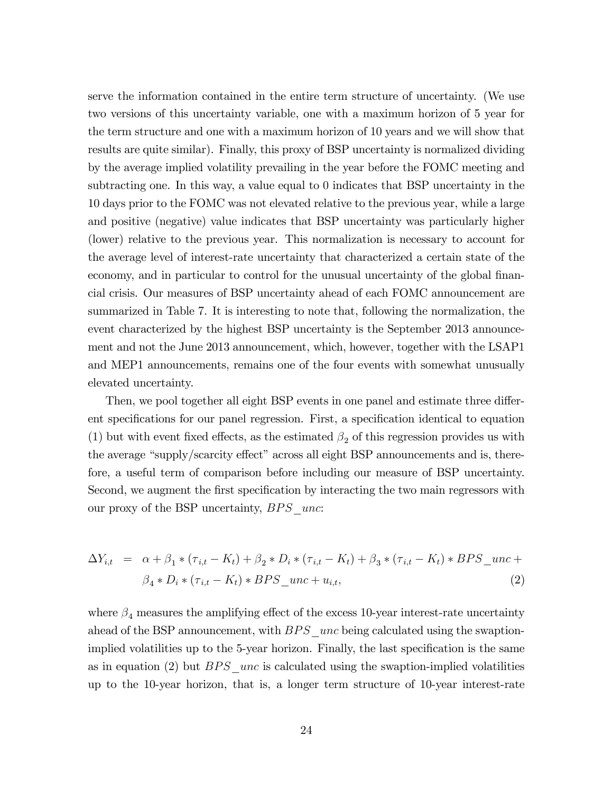serve the information contained in the entire term structure of uncertainty. (We use two versions of this uncertainty variable, one with a maximum horizon of 5 year for the term structure and one with a maximum horizon of 10 years and we will show that results are quite similar). Finally, this proxy of BSP uncertainty is normalized dividing by the average implied volatility prevailing in the year before the FOMC meeting and subtracting one. In this way, a value equal to 0 indicates that BSP uncertainty in the 10 days prior to the FOMC was not elevated relative to the previous year, while a large and positive (negative) value indicates that BSP uncertainty was particularly higher (lower) relative to the previous year. This normalization is necessary to account for the average level of interest-rate uncertainty that characterized a certain state of the economy, and in particular to control for the unusual uncertainty of the global financial crisis. Our measures of BSP uncertainty ahead of each FOMC announcement are summarized in Table 7. It is interesting to note that, following the normalization, the event characterized by the highest BSP uncertainty is the September 2013 announcement and not the June 2013 announcement, which, however, together with the LSAP1 and MEP1 announcements, remains one of the four events with somewhat unusually elevated uncertainty.

Then, we pool together all eight BSP events in one panel and estimate three different specifications for our panel regression. First, a specification identical to equation (1) but with event fixed effects, as the estimated  $\beta_2$  of this regression provides us with the average "supply/scarcity effect" across all eight BSP announcements and is, therefore, a useful term of comparison before including our measure of BSP uncertainty. Second, we augment the first specification by interacting the two main regressors with our proxy of the BSP uncertainty,  $BPS$  unc:

$$
\Delta Y_{i,t} = \alpha + \beta_1 * (\tau_{i,t} - K_t) + \beta_2 * D_i * (\tau_{i,t} - K_t) + \beta_3 * (\tau_{i,t} - K_t) * BPS\_unc + \n\beta_4 * D_i * (\tau_{i,t} - K_t) * BPS\_unc + u_{i,t},
$$
\n(2)

where  $\beta_4$  measures the amplifying effect of the excess 10-year interest-rate uncertainty ahead of the BSP announcement, with  $BPS$  unc being calculated using the swaptionimplied volatilities up to the 5-year horizon. Finally, the last specification is the same as in equation (2) but  $BPS$  unc is calculated using the swaption-implied volatilities up to the 10-year horizon, that is, a longer term structure of 10-year interest-rate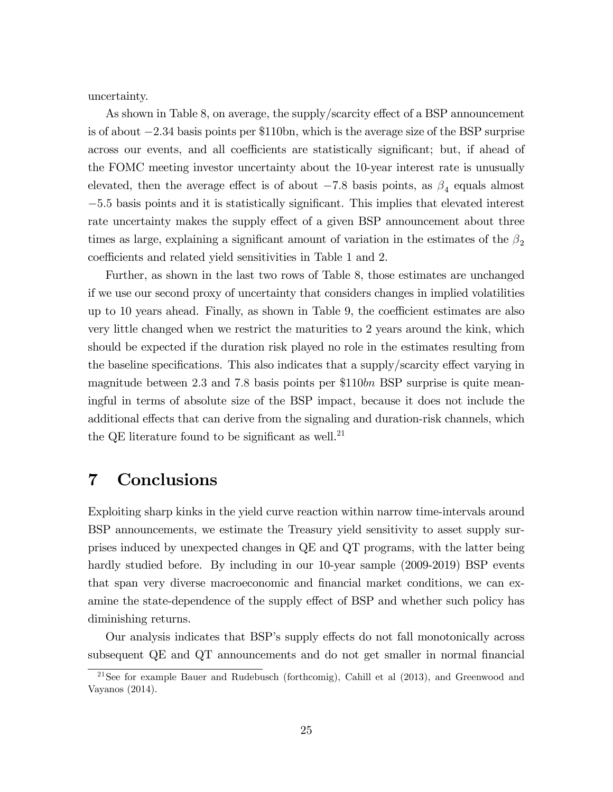uncertainty.

As shown in Table 8, on average, the supply/scarcity effect of a BSP announcement is of about  $-2.34$  basis points per \$110bn, which is the average size of the BSP surprise across our events, and all coefficients are statistically significant; but, if ahead of the FOMC meeting investor uncertainty about the 10-year interest rate is unusually elevated, then the average effect is of about  $-7.8$  basis points, as  $\beta_4$  equals almost  $-5.5$  basis points and it is statistically significant. This implies that elevated interest rate uncertainty makes the supply effect of a given BSP announcement about three times as large, explaining a significant amount of variation in the estimates of the  $\beta_2$ coefficients and related yield sensitivities in Table 1 and 2.

Further, as shown in the last two rows of Table 8, those estimates are unchanged if we use our second proxy of uncertainty that considers changes in implied volatilities up to 10 years ahead. Finally, as shown in Table 9, the coefficient estimates are also very little changed when we restrict the maturities to 2 years around the kink, which should be expected if the duration risk played no role in the estimates resulting from the baseline specifications. This also indicates that a supply/scarcity effect varying in magnitude between 2.3 and 7.8 basis points per \$110bn BSP surprise is quite meaningful in terms of absolute size of the BSP impact, because it does not include the additional effects that can derive from the signaling and duration-risk channels, which the QE literature found to be significant as well.<sup>21</sup>

## 7 Conclusions

Exploiting sharp kinks in the yield curve reaction within narrow time-intervals around BSP announcements, we estimate the Treasury yield sensitivity to asset supply surprises induced by unexpected changes in QE and QT programs, with the latter being hardly studied before. By including in our 10-year sample (2009-2019) BSP events that span very diverse macroeconomic and financial market conditions, we can examine the state-dependence of the supply effect of BSP and whether such policy has diminishing returns.

Our analysis indicates that BSP's supply effects do not fall monotonically across subsequent QE and QT announcements and do not get smaller in normal financial

 $21$ See for example Bauer and Rudebusch (forthcomig), Cahill et al (2013), and Greenwood and Vayanos (2014).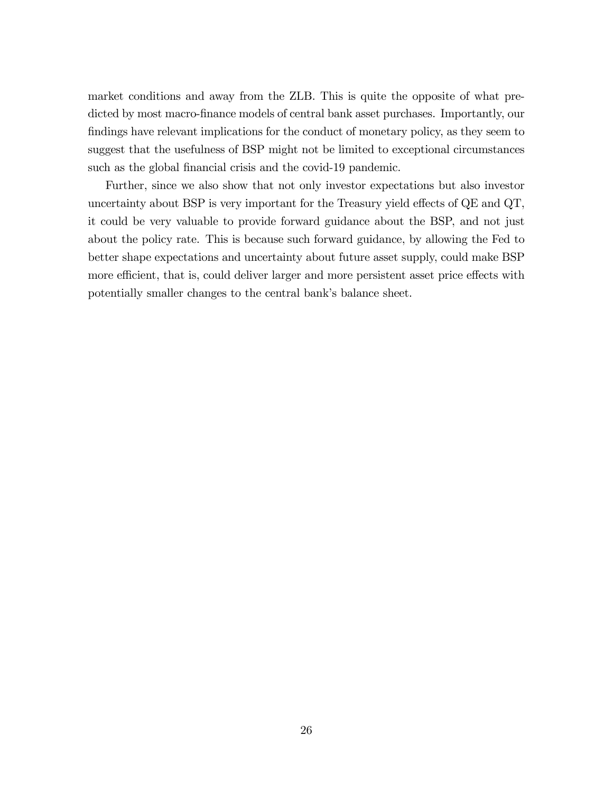market conditions and away from the ZLB. This is quite the opposite of what predicted by most macro-finance models of central bank asset purchases. Importantly, our findings have relevant implications for the conduct of monetary policy, as they seem to suggest that the usefulness of BSP might not be limited to exceptional circumstances such as the global financial crisis and the covid-19 pandemic.

Further, since we also show that not only investor expectations but also investor uncertainty about BSP is very important for the Treasury yield effects of  $\overline{QE}$  and  $\overline{QT}$ , it could be very valuable to provide forward guidance about the BSP, and not just about the policy rate. This is because such forward guidance, by allowing the Fed to better shape expectations and uncertainty about future asset supply, could make BSP more efficient, that is, could deliver larger and more persistent asset price effects with potentially smaller changes to the central bank's balance sheet.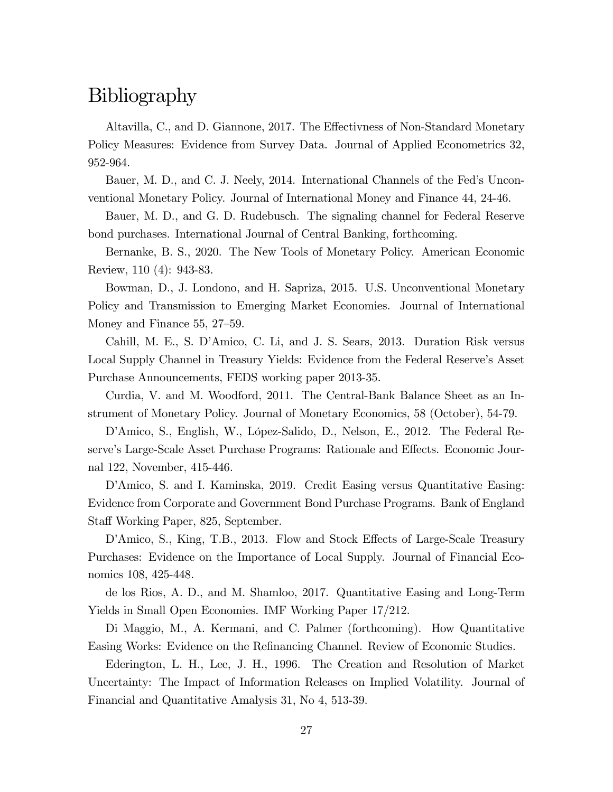## Bibliography

Altavilla, C., and D. Giannone, 2017. The Effectivness of Non-Standard Monetary Policy Measures: Evidence from Survey Data. Journal of Applied Econometrics 32, 952-964.

Bauer, M. D., and C. J. Neely, 2014. International Channels of the Fed's Unconventional Monetary Policy. Journal of International Money and Finance 44, 24-46.

Bauer, M. D., and G. D. Rudebusch. The signaling channel for Federal Reserve bond purchases. International Journal of Central Banking, forthcoming.

Bernanke, B. S., 2020. The New Tools of Monetary Policy. American Economic Review, 110 (4): 943-83.

Bowman, D., J. Londono, and H. Sapriza, 2015. U.S. Unconventional Monetary Policy and Transmission to Emerging Market Economies. Journal of International Money and Finance  $55, 27-59.$ 

Cahill, M. E., S. DíAmico, C. Li, and J. S. Sears, 2013. Duration Risk versus Local Supply Channel in Treasury Yields: Evidence from the Federal Reserve's Asset Purchase Announcements, FEDS working paper 2013-35.

Curdia, V. and M. Woodford, 2011. The Central-Bank Balance Sheet as an Instrument of Monetary Policy. Journal of Monetary Economics, 58 (October), 54-79.

D'Amico, S., English, W., López-Salido, D., Nelson, E., 2012. The Federal Reserve's Large-Scale Asset Purchase Programs: Rationale and Effects. Economic Journal 122, November, 415-446.

D'Amico, S. and I. Kaminska, 2019. Credit Easing versus Quantitative Easing: Evidence from Corporate and Government Bond Purchase Programs. Bank of England Staff Working Paper, 825, September.

D'Amico, S., King, T.B., 2013. Flow and Stock Effects of Large-Scale Treasury Purchases: Evidence on the Importance of Local Supply. Journal of Financial Economics 108, 425-448.

de los Rios, A. D., and M. Shamloo, 2017. Quantitative Easing and Long-Term Yields in Small Open Economies. IMF Working Paper 17/212.

Di Maggio, M., A. Kermani, and C. Palmer (forthcoming). How Quantitative Easing Works: Evidence on the Refinancing Channel. Review of Economic Studies.

Ederington, L. H., Lee, J. H., 1996. The Creation and Resolution of Market Uncertainty: The Impact of Information Releases on Implied Volatility. Journal of Financial and Quantitative Amalysis 31, No 4, 513-39.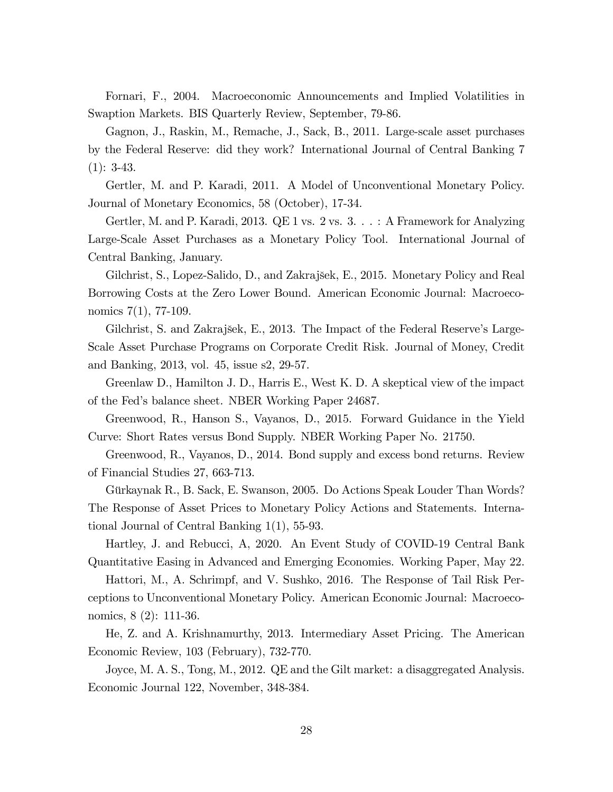Fornari, F., 2004. Macroeconomic Announcements and Implied Volatilities in Swaption Markets. BIS Quarterly Review, September, 79-86.

Gagnon, J., Raskin, M., Remache, J., Sack, B., 2011. Large-scale asset purchases by the Federal Reserve: did they work? International Journal of Central Banking 7  $(1): 3-43.$ 

Gertler, M. and P. Karadi, 2011. A Model of Unconventional Monetary Policy. Journal of Monetary Economics, 58 (October), 17-34.

Gertler, M. and P. Karadi, 2013. QE 1 vs. 2 vs. 3. . . : A Framework for Analyzing Large-Scale Asset Purchases as a Monetary Policy Tool. International Journal of Central Banking, January.

Gilchrist, S., Lopez-Salido, D., and Zakrajöek, E., 2015. Monetary Policy and Real Borrowing Costs at the Zero Lower Bound. American Economic Journal: Macroeconomics 7(1), 77-109.

Gilchrist, S. and Zakrajšek, E., 2013. The Impact of the Federal Reserve's Large-Scale Asset Purchase Programs on Corporate Credit Risk. Journal of Money, Credit and Banking, 2013, vol. 45, issue s2, 29-57.

Greenlaw D., Hamilton J. D., Harris E., West K. D. A skeptical view of the impact of the Fedís balance sheet. NBER Working Paper 24687.

Greenwood, R., Hanson S., Vayanos, D., 2015. Forward Guidance in the Yield Curve: Short Rates versus Bond Supply. NBER Working Paper No. 21750.

Greenwood, R., Vayanos, D., 2014. Bond supply and excess bond returns. Review of Financial Studies 27, 663-713.

Gürkaynak R., B. Sack, E. Swanson, 2005. Do Actions Speak Louder Than Words? The Response of Asset Prices to Monetary Policy Actions and Statements. International Journal of Central Banking 1(1), 55-93.

Hartley, J. and Rebucci, A, 2020. An Event Study of COVID-19 Central Bank Quantitative Easing in Advanced and Emerging Economies. Working Paper, May 22.

Hattori, M., A. Schrimpf, and V. Sushko, 2016. The Response of Tail Risk Perceptions to Unconventional Monetary Policy. American Economic Journal: Macroeconomics, 8 (2): 111-36.

He, Z. and A. Krishnamurthy, 2013. Intermediary Asset Pricing. The American Economic Review, 103 (February), 732-770.

Joyce, M. A. S., Tong, M., 2012. QE and the Gilt market: a disaggregated Analysis. Economic Journal 122, November, 348-384.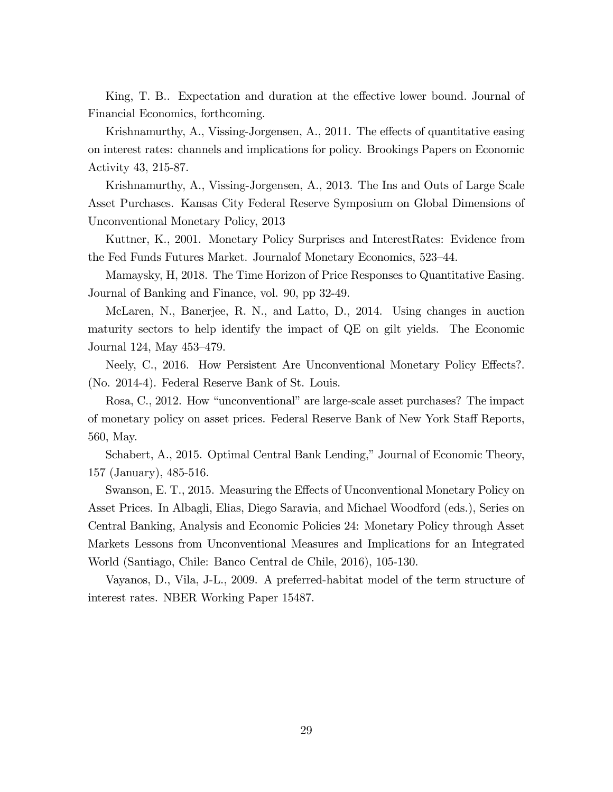King, T. B.. Expectation and duration at the effective lower bound. Journal of Financial Economics, forthcoming.

Krishnamurthy,  $A_{1}$ , Vissing-Jorgensen,  $A_{1}$ , 2011. The effects of quantitative easing on interest rates: channels and implications for policy. Brookings Papers on Economic Activity 43, 215-87.

Krishnamurthy, A., Vissing-Jorgensen, A., 2013. The Ins and Outs of Large Scale Asset Purchases. Kansas City Federal Reserve Symposium on Global Dimensions of Unconventional Monetary Policy, 2013

Kuttner, K., 2001. Monetary Policy Surprises and InterestRates: Evidence from the Fed Funds Futures Market. Journal of Monetary Economics, 523–44.

Mamaysky, H, 2018. The Time Horizon of Price Responses to Quantitative Easing. Journal of Banking and Finance, vol. 90, pp 32-49.

McLaren, N., Banerjee, R. N., and Latto, D., 2014. Using changes in auction maturity sectors to help identify the impact of QE on gilt yields. The Economic Journal 124, May  $453-479$ .

Neely, C., 2016. How Persistent Are Unconventional Monetary Policy Effects?. (No. 2014-4). Federal Reserve Bank of St. Louis.

Rosa, C., 2012. How "unconventional" are large-scale asset purchases? The impact of monetary policy on asset prices. Federal Reserve Bank of New York Staff Reports, 560, May.

Schabert, A., 2015. Optimal Central Bank Lending," Journal of Economic Theory, 157 (January), 485-516.

Swanson, E. T., 2015. Measuring the Effects of Unconventional Monetary Policy on Asset Prices. In Albagli, Elias, Diego Saravia, and Michael Woodford (eds.), Series on Central Banking, Analysis and Economic Policies 24: Monetary Policy through Asset Markets Lessons from Unconventional Measures and Implications for an Integrated World (Santiago, Chile: Banco Central de Chile, 2016), 105-130.

Vayanos, D., Vila, J-L., 2009. A preferred-habitat model of the term structure of interest rates. NBER Working Paper 15487.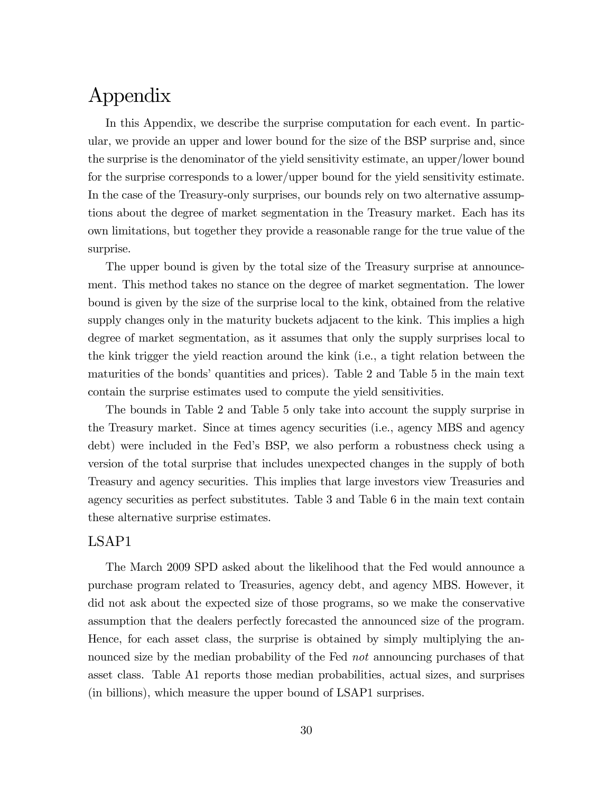## Appendix

In this Appendix, we describe the surprise computation for each event. In particular, we provide an upper and lower bound for the size of the BSP surprise and, since the surprise is the denominator of the yield sensitivity estimate, an upper/lower bound for the surprise corresponds to a lower/upper bound for the yield sensitivity estimate. In the case of the Treasury-only surprises, our bounds rely on two alternative assumptions about the degree of market segmentation in the Treasury market. Each has its own limitations, but together they provide a reasonable range for the true value of the surprise.

The upper bound is given by the total size of the Treasury surprise at announcement. This method takes no stance on the degree of market segmentation. The lower bound is given by the size of the surprise local to the kink, obtained from the relative supply changes only in the maturity buckets adjacent to the kink. This implies a high degree of market segmentation, as it assumes that only the supply surprises local to the kink trigger the yield reaction around the kink (i.e., a tight relation between the maturities of the bonds' quantities and prices). Table 2 and Table 5 in the main text contain the surprise estimates used to compute the yield sensitivities.

The bounds in Table 2 and Table 5 only take into account the supply surprise in the Treasury market. Since at times agency securities (i.e., agency MBS and agency debt) were included in the Fedís BSP, we also perform a robustness check using a version of the total surprise that includes unexpected changes in the supply of both Treasury and agency securities. This implies that large investors view Treasuries and agency securities as perfect substitutes. Table 3 and Table 6 in the main text contain these alternative surprise estimates.

### LSAP1

The March 2009 SPD asked about the likelihood that the Fed would announce a purchase program related to Treasuries, agency debt, and agency MBS. However, it did not ask about the expected size of those programs, so we make the conservative assumption that the dealers perfectly forecasted the announced size of the program. Hence, for each asset class, the surprise is obtained by simply multiplying the announced size by the median probability of the Fed *not* announcing purchases of that asset class. Table A1 reports those median probabilities, actual sizes, and surprises (in billions), which measure the upper bound of LSAP1 surprises.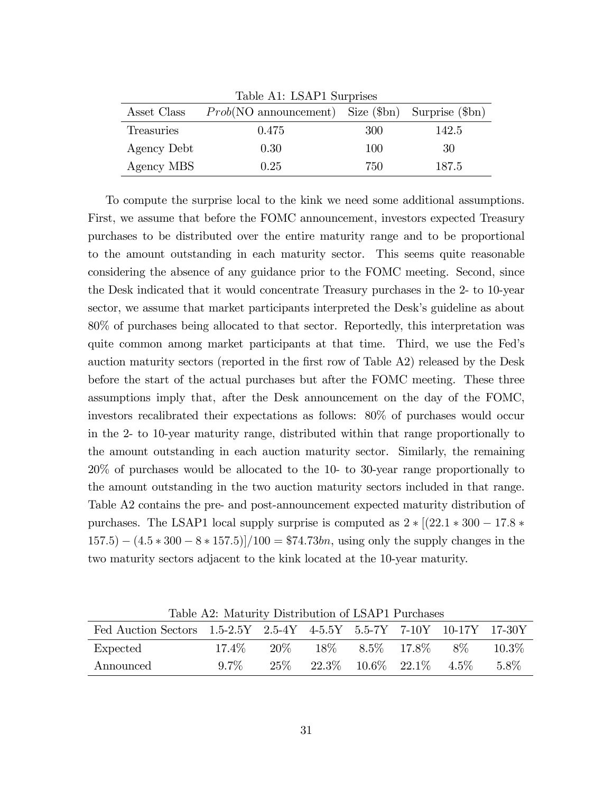|             | Table A1: LSAP1 Surprises                                         |     |       |
|-------------|-------------------------------------------------------------------|-----|-------|
| Asset Class | $Prob(NO \text{ announcement})$ Size ( $$bn)$ Surprise ( $$bn)$ ) |     |       |
| Treasuries  | 0.475                                                             | 300 | 142.5 |
| Agency Debt | 0.30                                                              | 100 | 30    |
| Agency MBS  | 0.25                                                              | 750 | 187.5 |

To compute the surprise local to the kink we need some additional assumptions. First, we assume that before the FOMC announcement, investors expected Treasury purchases to be distributed over the entire maturity range and to be proportional to the amount outstanding in each maturity sector. This seems quite reasonable considering the absence of any guidance prior to the FOMC meeting. Second, since the Desk indicated that it would concentrate Treasury purchases in the 2- to 10-year sector, we assume that market participants interpreted the Desk's guideline as about 80% of purchases being allocated to that sector. Reportedly, this interpretation was quite common among market participants at that time. Third, we use the Fedís auction maturity sectors (reported in the first row of Table A2) released by the Desk before the start of the actual purchases but after the FOMC meeting. These three assumptions imply that, after the Desk announcement on the day of the FOMC, investors recalibrated their expectations as follows: 80% of purchases would occur in the 2- to 10-year maturity range, distributed within that range proportionally to the amount outstanding in each auction maturity sector. Similarly, the remaining 20% of purchases would be allocated to the 10- to 30-year range proportionally to the amount outstanding in the two auction maturity sectors included in that range. Table A2 contains the pre- and post-announcement expected maturity distribution of purchases. The LSAP1 local supply surprise is computed as  $2 * [(22.1 * 300 - 17.8 *$  $(157.5) - (4.5 * 300 - 8 * 157.5)/100 = $74.73$ bn, using only the supply changes in the two maturity sectors adjacent to the kink located at the 10-year maturity.

Table A2: Maturity Distribution of LSAP1 Purchases

| Fed Auction Sectors 1.5-2.5Y 2.5-4Y 4-5.5Y 5.5-7Y 7-10Y 10-17Y 17-30Y |         |  |  |                                                   |           |
|-----------------------------------------------------------------------|---------|--|--|---------------------------------------------------|-----------|
| Expected                                                              | 17.4%   |  |  | $20\%$ $18\%$ $8.5\%$ $17.8\%$ $8\%$              | $-10.3\%$ |
| Announced                                                             | $9.7\%$ |  |  | $25\%$ $22.3\%$ $10.6\%$ $22.1\%$ $4.5\%$ $5.8\%$ |           |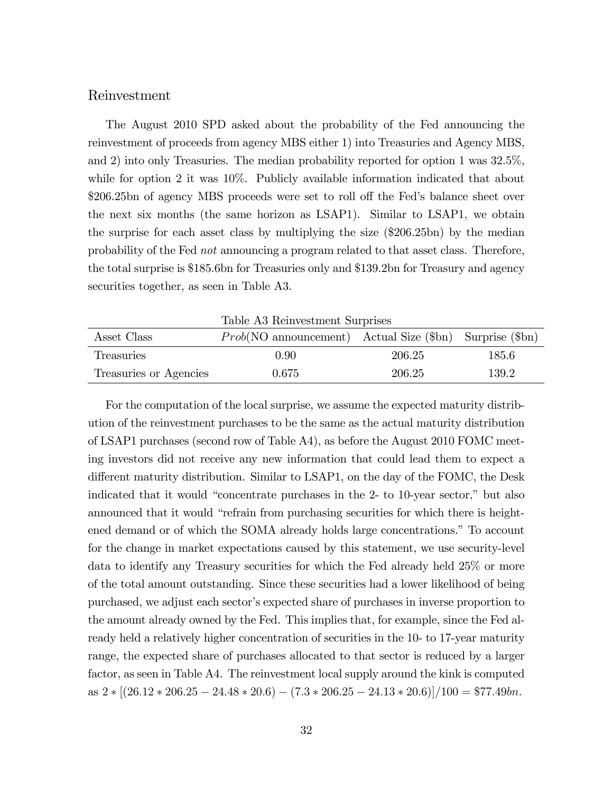#### Reinvestment

The August 2010 SPD asked about the probability of the Fed announcing the reinvestment of proceeds from agency MBS either 1) into Treasuries and Agency MBS, and 2) into only Treasuries. The median probability reported for option 1 was 32.5%, while for option 2 it was  $10\%$ . Publicly available information indicated that about \$206.25bn of agency MBS proceeds were set to roll off the Fed's balance sheet over the next six months (the same horizon as LSAP1). Similar to LSAP1, we obtain the surprise for each asset class by multiplying the size (\$206.25bn) by the median probability of the Fed not announcing a program related to that asset class. Therefore, the total surprise is \$185.6bn for Treasuries only and \$139.2bn for Treasury and agency securities together, as seen in Table A3.

Table A3 Reinvestment Surprises

| Asset Class            | $Prob(NO \text{ announcement})$ Actual Size (\$bn) Surprise (\$bn) |        |       |
|------------------------|--------------------------------------------------------------------|--------|-------|
| <b>Treasuries</b>      | 0.90                                                               | 206.25 | 185.6 |
| Treasuries or Agencies | 0.675                                                              | 206.25 | 139.2 |

For the computation of the local surprise, we assume the expected maturity distribution of the reinvestment purchases to be the same as the actual maturity distribution of LSAP1 purchases (second row of Table A4), as before the August 2010 FOMC meeting investors did not receive any new information that could lead them to expect a different maturity distribution. Similar to LSAP1, on the day of the FOMC, the Desk indicated that it would "concentrate purchases in the  $2$ - to  $10$ -year sector," but also announced that it would "refrain from purchasing securities for which there is heightened demand or of which the SOMA already holds large concentrations." To account for the change in market expectations caused by this statement, we use security-level data to identify any Treasury securities for which the Fed already held 25% or more of the total amount outstanding. Since these securities had a lower likelihood of being purchased, we adjust each sector's expected share of purchases in inverse proportion to the amount already owned by the Fed. This implies that, for example, since the Fed already held a relatively higher concentration of securities in the 10- to 17-year maturity range, the expected share of purchases allocated to that sector is reduced by a larger factor, as seen in Table A4. The reinvestment local supply around the kink is computed as  $2 \times \frac{[(26.12 \times 206.25 - 24.48 \times 20.6) - (7.3 \times 206.25 - 24.13 \times 20.6)]}{100} = $77.49bn.$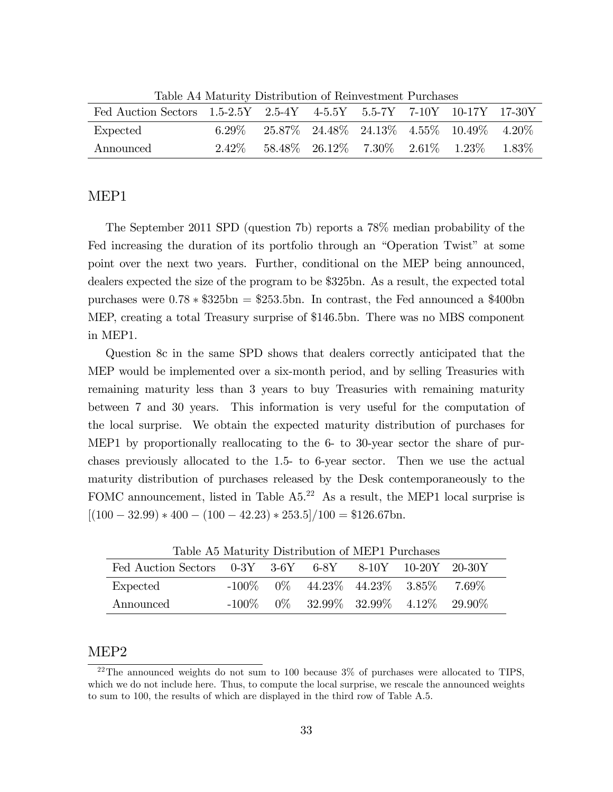|                                                                       | Table 114 magatics Disambagion of Remocsantement attentates |                                                      |  |  |
|-----------------------------------------------------------------------|-------------------------------------------------------------|------------------------------------------------------|--|--|
| Fed Auction Sectors 1.5-2.5Y 2.5-4Y 4-5.5Y 5.5-7Y 7-10Y 10-17Y 17-30Y |                                                             |                                                      |  |  |
| Expected                                                              | 6.29%                                                       | $25.87\%$ 24.48\% 24.13\% 4.55\% 10.49\% 4.20\%      |  |  |
| Announced                                                             |                                                             | $2.42\%$ 58.48\% 26.12\% 7.30\% 2.61\% 1.23\% 1.83\% |  |  |

Table A4 Maturity Distribution of Reinvestment Purchases

#### MEP1

The September 2011 SPD (question 7b) reports a 78% median probability of the Fed increasing the duration of its portfolio through an "Operation Twist" at some point over the next two years. Further, conditional on the MEP being announced, dealers expected the size of the program to be \$325bn. As a result, the expected total purchases were  $0.78 * $325bn = $253.5bn$ . In contrast, the Fed announced a \$400bn MEP, creating a total Treasury surprise of \$146.5bn. There was no MBS component in MEP1.

Question 8c in the same SPD shows that dealers correctly anticipated that the MEP would be implemented over a six-month period, and by selling Treasuries with remaining maturity less than 3 years to buy Treasuries with remaining maturity between 7 and 30 years. This information is very useful for the computation of the local surprise. We obtain the expected maturity distribution of purchases for MEP1 by proportionally reallocating to the 6- to 30-year sector the share of purchases previously allocated to the 1.5- to 6-year sector. Then we use the actual maturity distribution of purchases released by the Desk contemporaneously to the FOMC announcement, listed in Table  $A5<sup>22</sup>$  As a result, the MEP1 local surprise is  $[(100 - 32.99) * 400 - (100 - 42.23) * 253.5]/100 = $126.67$ bn.

| Table A5 Maturity Distribution of MEPT Purchases                   |  |                                             |  |  |
|--------------------------------------------------------------------|--|---------------------------------------------|--|--|
| Fed Auction Sectors $0-3Y$ $3-6Y$ $6-8Y$ $8-10Y$ $10-20Y$ $20-30Y$ |  |                                             |  |  |
| Expected                                                           |  | $-100\%$ 0\% 44.23\% 44.23\% 3.85\% 7.69\%  |  |  |
| Announced                                                          |  | $-100\%$ 0\% 32.99\% 32.99\% 4.12\% 29.90\% |  |  |

Table A5 Maturity Distribution of MEP1 Purchases

### MEP2

 $22$ The announced weights do not sum to 100 because  $3\%$  of purchases were allocated to TIPS, which we do not include here. Thus, to compute the local surprise, we rescale the announced weights to sum to 100, the results of which are displayed in the third row of Table A.5.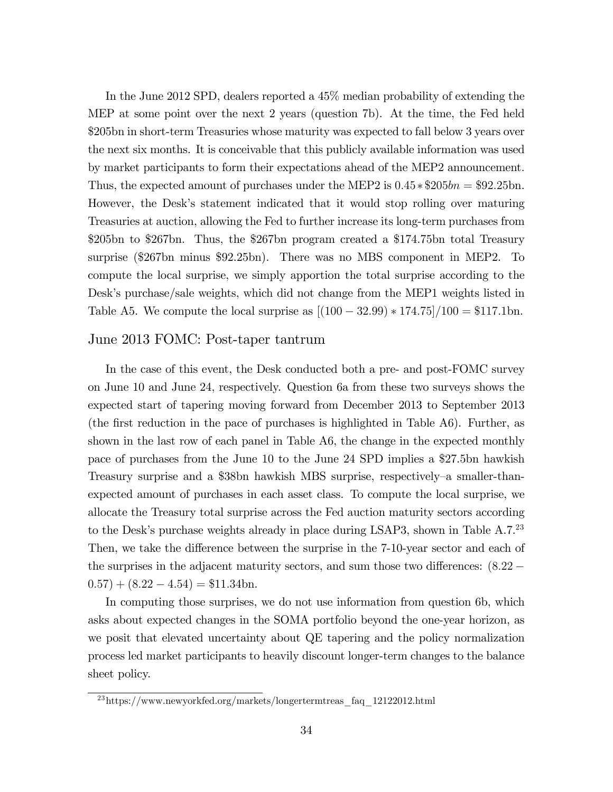In the June 2012 SPD, dealers reported a 45% median probability of extending the MEP at some point over the next 2 years (question 7b). At the time, the Fed held \$205bn in short-term Treasuries whose maturity was expected to fall below 3 years over the next six months. It is conceivable that this publicly available information was used by market participants to form their expectations ahead of the MEP2 announcement. Thus, the expected amount of purchases under the MEP2 is  $0.45 * $205bn = $92.25bn$ . However, the Desk's statement indicated that it would stop rolling over maturing Treasuries at auction, allowing the Fed to further increase its long-term purchases from \$205bn to \$267bn. Thus, the \$267bn program created a \$174.75bn total Treasury surprise (\$267bn minus \$92.25bn). There was no MBS component in MEP2. To compute the local surprise, we simply apportion the total surprise according to the Desk's purchase/sale weights, which did not change from the MEP1 weights listed in Table A5. We compute the local surprise as  $[(100 - 32.99) * 174.75]/100 = $117.1$ bn.

#### June 2013 FOMC: Post-taper tantrum

In the case of this event, the Desk conducted both a pre- and post-FOMC survey on June 10 and June 24, respectively. Question 6a from these two surveys shows the expected start of tapering moving forward from December 2013 to September 2013 (the first reduction in the pace of purchases is highlighted in Table  $A6$ ). Further, as shown in the last row of each panel in Table A6, the change in the expected monthly pace of purchases from the June 10 to the June 24 SPD implies a \$27.5bn hawkish Treasury surprise and a \$38bn hawkish MBS surprise, respectively–a smaller-thanexpected amount of purchases in each asset class. To compute the local surprise, we allocate the Treasury total surprise across the Fed auction maturity sectors according to the Desk's purchase weights already in place during LSAP3, shown in Table  $A.7.^{23}$ Then, we take the difference between the surprise in the 7-10-year sector and each of the surprises in the adjacent maturity sectors, and sum those two differences:  $(8.22 (0.57) + (8.22 - 4.54) = $11.34$ bn.

In computing those surprises, we do not use information from question 6b, which asks about expected changes in the SOMA portfolio beyond the one-year horizon, as we posit that elevated uncertainty about QE tapering and the policy normalization process led market participants to heavily discount longer-term changes to the balance sheet policy.

<sup>23</sup>https://www.newyorkfed.org/markets/longertermtreas\_faq\_12122012.html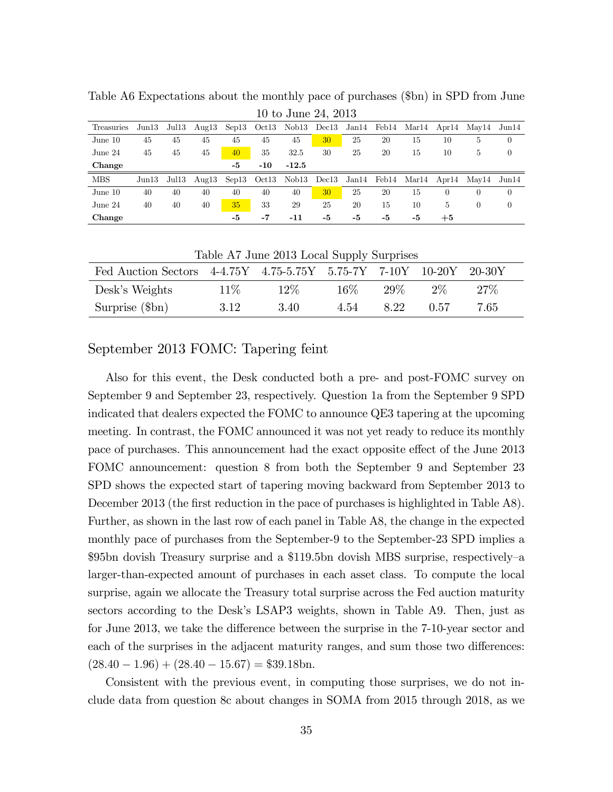|            | $1000$ Julie 27, 2010 |                         |    |    |           |         |    |    |    |    |          |                                                                               |                |
|------------|-----------------------|-------------------------|----|----|-----------|---------|----|----|----|----|----------|-------------------------------------------------------------------------------|----------------|
| Treasuries |                       |                         |    |    |           |         |    |    |    |    |          | Jun13 Jul13 Aug13 Sep13 Oct13 Nob13 Dec13 Jan14 Feb14 Mar14 Apr14 May14 Jun14 |                |
| June 10    | 45                    | 45                      | 45 | 45 | 45        | 45      | 30 | 25 | 20 | 15 | 10       | 5                                                                             | $\overline{0}$ |
| June $24$  | 45                    | 45                      | 45 | 40 | 35        | 32.5    | 30 | 25 | 20 | 15 | 10       | 5.                                                                            | $\overline{0}$ |
| Change     |                       |                         |    | -5 | $-10^{-}$ | $-12.5$ |    |    |    |    |          |                                                                               |                |
| MBS        |                       | $\rm Jun13$ $\rm Jul13$ |    |    |           |         |    |    |    |    |          | Aug13 Sep13 Oct13 Nob13 Dec13 Jan14 Feb14 Mar14 Apr14 May14 Jun14             |                |
| June 10    | 40                    | 40                      | 40 | 40 | 40        | 40      | 30 | 25 | 20 | 15 | $\theta$ |                                                                               | $\theta$       |
| June $24$  | 40                    | 40                      | 40 | 35 | 33        | 29      | 25 | 20 | 15 | 10 | 5        | $\left( \right)$                                                              | $\overline{0}$ |
| Change     |                       |                         |    | -5 | -7        | -11     | -5 | -5 | -5 | -5 | $+5$     |                                                                               |                |

Table A6 Expectations about the monthly pace of purchases (\$bn) in SPD from June 10 to June 24, 2013

| Table A7 June 2013 Local Supply Surprises                          |        |        |        |        |        |        |  |  |  |  |
|--------------------------------------------------------------------|--------|--------|--------|--------|--------|--------|--|--|--|--|
| Fed Auction Sectors 4-4.75Y 4.75-5.75Y 5.75-7Y 7-10Y 10-20Y 20-30Y |        |        |        |        |        |        |  |  |  |  |
| Desk's Weights                                                     | $11\%$ | $12\%$ | $16\%$ | $29\%$ | $2\%$  | $27\%$ |  |  |  |  |
| Surprise $(\$\text{bn})$                                           | -3.12  | 3.40   | 4.54   | 822    | (1.57) | 7.65   |  |  |  |  |

September 2013 FOMC: Tapering feint

Also for this event, the Desk conducted both a pre- and post-FOMC survey on September 9 and September 23, respectively. Question 1a from the September 9 SPD indicated that dealers expected the FOMC to announce QE3 tapering at the upcoming meeting. In contrast, the FOMC announced it was not yet ready to reduce its monthly pace of purchases. This announcement had the exact opposite effect of the June 2013 FOMC announcement: question 8 from both the September 9 and September 23 SPD shows the expected start of tapering moving backward from September 2013 to December 2013 (the first reduction in the pace of purchases is highlighted in Table A8). Further, as shown in the last row of each panel in Table A8, the change in the expected monthly pace of purchases from the September-9 to the September-23 SPD implies a \$95bn dovish Treasury surprise and a \$119.5bn dovish MBS surprise, respectively–a larger-than-expected amount of purchases in each asset class. To compute the local surprise, again we allocate the Treasury total surprise across the Fed auction maturity sectors according to the Desk's LSAP3 weights, shown in Table A9. Then, just as for June 2013, we take the difference between the surprise in the 7-10-year sector and each of the surprises in the adjacent maturity ranges, and sum those two differences:  $(28.40 - 1.96) + (28.40 - 15.67) = $39.18$ bn.

Consistent with the previous event, in computing those surprises, we do not include data from question 8c about changes in SOMA from 2015 through 2018, as we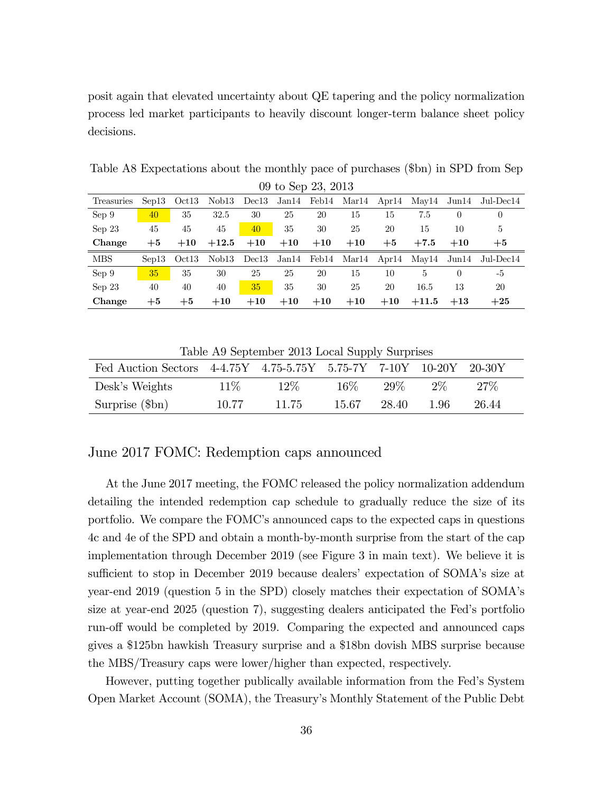posit again that elevated uncertainty about QE tapering and the policy normalization process led market participants to heavily discount longer-term balance sheet policy decisions.

Table A8 Expectations about the monthly pace of purchases (\$bn) in SPD from Sep  $00 + 6$  Sop 23, 2013

|            | 03 TO DED 20, 2010 |             |         |       |       |       |       |       |         |                  |                                                           |
|------------|--------------------|-------------|---------|-------|-------|-------|-------|-------|---------|------------------|-----------------------------------------------------------|
| Treasuries |                    | Sep13 Oct13 |         |       |       |       |       |       |         |                  | Nob13 Dec13 Jan14 Feb14 Mar14 Apr14 May14 Jun14 Jul-Dec14 |
| Sep 9      | 40                 | 35          | 32.5    | 30    | 25    | 20    | 15    | 15    | 7.5     | $\theta$         | $\theta$                                                  |
| Sep23      | 45                 | 45          | 45      | 40    | 35    | 30    | 25    | 20    | 15      | 10               | $\overline{5}$                                            |
| Change     | $+5$               | $+10$       | $+12.5$ | $+10$ | $+10$ | $+10$ | $+10$ | $+5$  | $+7.5$  | $+10$            | $+5$                                                      |
| <b>MBS</b> | Sep13              | Oct13       | Nob13   |       |       |       |       |       |         |                  | Dec13 Jan14 Feb14 Mar14 Apr14 May14 Jun14 Jul-Dec14       |
| Sep 9      | <b>35</b>          | 35          | 30      | 25    | 25    | 20    | 15    | 10    | 5       | $\left( \right)$ | -5                                                        |
| Sep23      | 40                 | 40          | 40      | 35    | 35    | 30    | 25    | 20    | 16.5    | 13               | 20                                                        |
| Change     | $+5$               | $+5$        | $+10$   | $+10$ | $+10$ | $+10$ | $+10$ | $+10$ | $+11.5$ | $+13$            | $+25$                                                     |

Table A9 September 2013 Local Supply Surprises

| Fed Auction Sectors 4-4.75Y 4.75-5.75Y 5.75-7Y 7-10Y 10-20Y 20-30Y |        |        |        |       |       |        |  |
|--------------------------------------------------------------------|--------|--------|--------|-------|-------|--------|--|
| Desk's Weights                                                     | $11\%$ | $12\%$ | $16\%$ | 29%   | $2\%$ | $27\%$ |  |
| Surprise (\$bn)                                                    | 10.77  | 11.75  | 15.67  | 28.40 | -1.96 | 26.44  |  |

#### June 2017 FOMC: Redemption caps announced

At the June 2017 meeting, the FOMC released the policy normalization addendum detailing the intended redemption cap schedule to gradually reduce the size of its portfolio. We compare the FOMC's announced caps to the expected caps in questions 4c and 4e of the SPD and obtain a month-by-month surprise from the start of the cap implementation through December 2019 (see Figure 3 in main text). We believe it is sufficient to stop in December 2019 because dealers' expectation of SOMA's size at year-end 2019 (question 5 in the SPD) closely matches their expectation of SOMAís size at year-end 2025 (question 7), suggesting dealers anticipated the Fed's portfolio run-off would be completed by 2019. Comparing the expected and announced caps gives a \$125bn hawkish Treasury surprise and a \$18bn dovish MBS surprise because the MBS/Treasury caps were lower/higher than expected, respectively.

However, putting together publically available information from the Fedís System Open Market Account (SOMA), the Treasuryís Monthly Statement of the Public Debt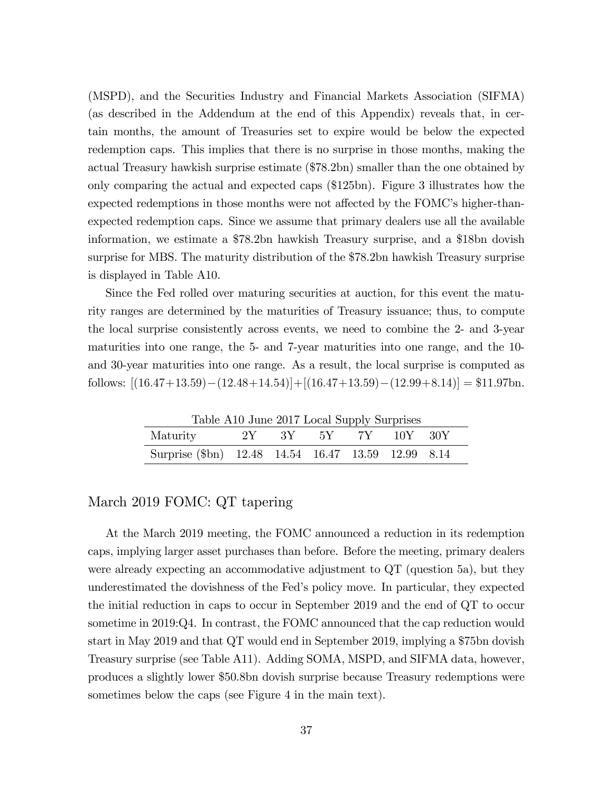(MSPD), and the Securities Industry and Financial Markets Association (SIFMA) (as described in the Addendum at the end of this Appendix) reveals that, in certain months, the amount of Treasuries set to expire would be below the expected redemption caps. This implies that there is no surprise in those months, making the actual Treasury hawkish surprise estimate (\$78.2bn) smaller than the one obtained by only comparing the actual and expected caps (\$125bn). Figure 3 illustrates how the expected redemptions in those months were not affected by the FOMC's higher-thanexpected redemption caps. Since we assume that primary dealers use all the available information, we estimate a \$78.2bn hawkish Treasury surprise, and a \$18bn dovish surprise for MBS. The maturity distribution of the \$78.2bn hawkish Treasury surprise is displayed in Table A10.

Since the Fed rolled over maturing securities at auction, for this event the maturity ranges are determined by the maturities of Treasury issuance; thus, to compute the local surprise consistently across events, we need to combine the 2- and 3-year maturities into one range, the 5- and 7-year maturities into one range, and the 10 and 30-year maturities into one range. As a result, the local surprise is computed as follows:  $[(16.47+13.59)-(12.48+14.54)]+[(16.47+13.59)-(12.99+8.14)] = $11.97$ bn.

Table A10 June 2017 Local Supply Surprises

| Maturity                                           | 1000 | 2Y 3Y 5Y 7Y 10Y 30Y |  |  |
|----------------------------------------------------|------|---------------------|--|--|
| Surprise (\$bn) 12.48 14.54 16.47 13.59 12.99 8.14 |      |                     |  |  |

### March 2019 FOMC: QT tapering

At the March 2019 meeting, the FOMC announced a reduction in its redemption caps, implying larger asset purchases than before. Before the meeting, primary dealers were already expecting an accommodative adjustment to QT (question 5a), but they underestimated the dovishness of the Fedís policy move. In particular, they expected the initial reduction in caps to occur in September 2019 and the end of QT to occur sometime in 2019:Q4. In contrast, the FOMC announced that the cap reduction would start in May 2019 and that QT would end in September 2019, implying a \$75bn dovish Treasury surprise (see Table A11). Adding SOMA, MSPD, and SIFMA data, however, produces a slightly lower \$50.8bn dovish surprise because Treasury redemptions were sometimes below the caps (see Figure 4 in the main text).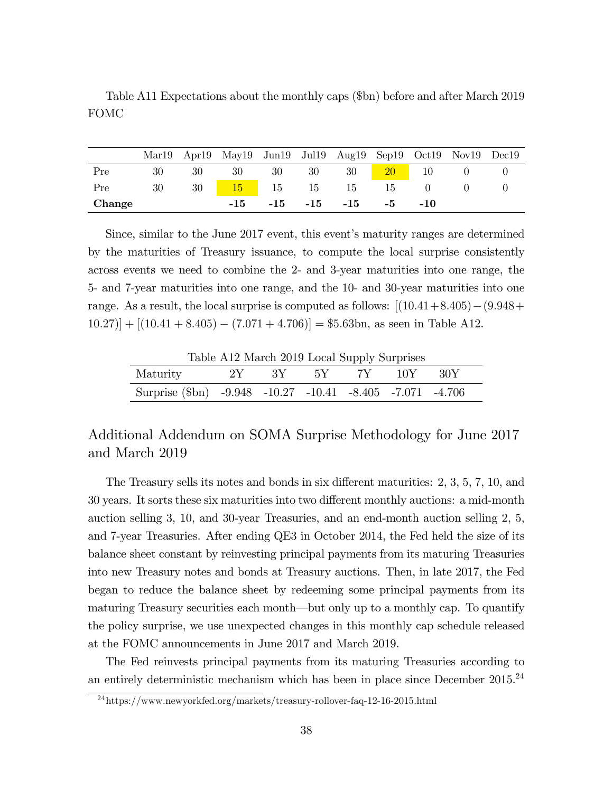|        |    |     | Mar19 Apr19 May19 Jun19 Jul19 Aug19 Sep19 Oct19 Nov19 Dec19 |  |                                    |  |  |
|--------|----|-----|-------------------------------------------------------------|--|------------------------------------|--|--|
| Pre    | 30 | -30 | - 30                                                        |  | 30 30 30 20 10 0                   |  |  |
| Pre    | 30 |     | 30 15 15 15 15 15 0                                         |  |                                    |  |  |
| Change |    |     |                                                             |  | $-15$ $-15$ $-15$ $-15$ $-5$ $-10$ |  |  |

Table A11 Expectations about the monthly caps (\$bn) before and after March 2019 FOMC

Since, similar to the June 2017 event, this event's maturity ranges are determined by the maturities of Treasury issuance, to compute the local surprise consistently across events we need to combine the 2- and 3-year maturities into one range, the 5- and 7-year maturities into one range, and the 10- and 30-year maturities into one range. As a result, the local surprise is computed as follows:  $|(10.41+8.405)-(9.948+$  $(10.27)| + |(10.41 + 8.405) - (7.071 + 4.706)| = $5.63$ bn, as seen in Table A12.

Table A12 March 2019 Local Supply Surprises

| Maturity                                                  |  | $2Y$ 3Y 5Y 7Y 10Y 30Y |  |  |
|-----------------------------------------------------------|--|-----------------------|--|--|
| Surprise (\$bn) -9.948 -10.27 -10.41 -8.405 -7.071 -4.706 |  |                       |  |  |

## Additional Addendum on SOMA Surprise Methodology for June 2017 and March 2019

The Treasury sells its notes and bonds in six different maturities: 2, 3, 5, 7, 10, and 30 years. It sorts these six maturities into two different monthly auctions: a mid-month auction selling 3, 10, and 30-year Treasuries, and an end-month auction selling 2, 5, and 7-year Treasuries. After ending QE3 in October 2014, the Fed held the size of its balance sheet constant by reinvesting principal payments from its maturing Treasuries into new Treasury notes and bonds at Treasury auctions. Then, in late 2017, the Fed began to reduce the balance sheet by redeeming some principal payments from its maturing Treasury securities each month—but only up to a monthly cap. To quantify the policy surprise, we use unexpected changes in this monthly cap schedule released at the FOMC announcements in June 2017 and March 2019.

The Fed reinvests principal payments from its maturing Treasuries according to an entirely deterministic mechanism which has been in place since December  $2015.^{24}$ 

<sup>24</sup>https://www.newyorkfed.org/markets/treasury-rollover-faq-12-16-2015.html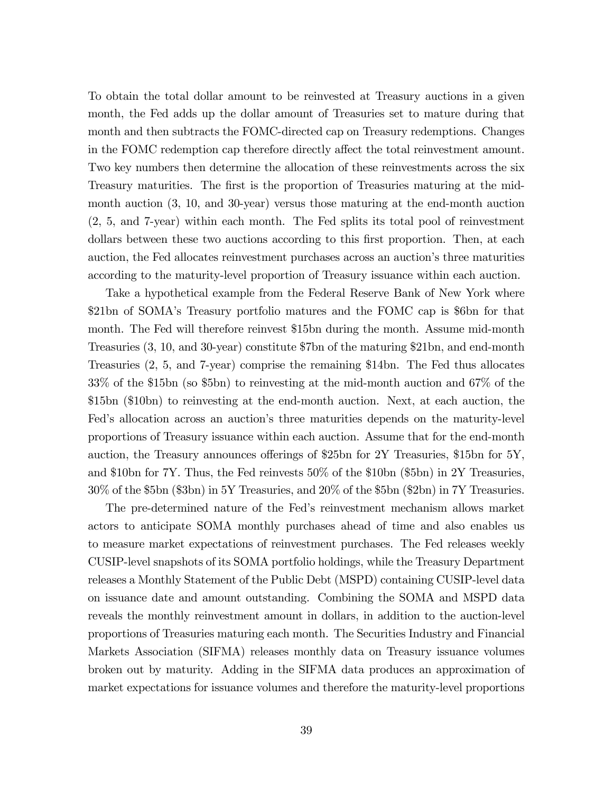To obtain the total dollar amount to be reinvested at Treasury auctions in a given month, the Fed adds up the dollar amount of Treasuries set to mature during that month and then subtracts the FOMC-directed cap on Treasury redemptions. Changes in the FOMC redemption cap therefore directly affect the total reinvestment amount. Two key numbers then determine the allocation of these reinvestments across the six Treasury maturities. The first is the proportion of Treasuries maturing at the midmonth auction (3, 10, and 30-year) versus those maturing at the end-month auction (2, 5, and 7-year) within each month. The Fed splits its total pool of reinvestment dollars between these two auctions according to this first proportion. Then, at each auction, the Fed allocates reinvestment purchases across an auctionís three maturities according to the maturity-level proportion of Treasury issuance within each auction.

Take a hypothetical example from the Federal Reserve Bank of New York where \$21bn of SOMAís Treasury portfolio matures and the FOMC cap is \$6bn for that month. The Fed will therefore reinvest \$15bn during the month. Assume mid-month Treasuries (3, 10, and 30-year) constitute \$7bn of the maturing \$21bn, and end-month Treasuries (2, 5, and 7-year) comprise the remaining \$14bn. The Fed thus allocates 33% of the \$15bn (so \$5bn) to reinvesting at the mid-month auction and 67% of the \$15bn (\$10bn) to reinvesting at the end-month auction. Next, at each auction, the Fed's allocation across an auction's three maturities depends on the maturity-level proportions of Treasury issuance within each auction. Assume that for the end-month auction, the Treasury announces offerings of \$25bn for  $2Y$  Treasuries, \$15bn for  $5Y$ , and \$10bn for 7Y. Thus, the Fed reinvests 50% of the \$10bn (\$5bn) in 2Y Treasuries, 30% of the \$5bn (\$3bn) in 5Y Treasuries, and 20% of the \$5bn (\$2bn) in 7Y Treasuries.

The pre-determined nature of the Fedís reinvestment mechanism allows market actors to anticipate SOMA monthly purchases ahead of time and also enables us to measure market expectations of reinvestment purchases. The Fed releases weekly CUSIP-level snapshots of its SOMA portfolio holdings, while the Treasury Department releases a Monthly Statement of the Public Debt (MSPD) containing CUSIP-level data on issuance date and amount outstanding. Combining the SOMA and MSPD data reveals the monthly reinvestment amount in dollars, in addition to the auction-level proportions of Treasuries maturing each month. The Securities Industry and Financial Markets Association (SIFMA) releases monthly data on Treasury issuance volumes broken out by maturity. Adding in the SIFMA data produces an approximation of market expectations for issuance volumes and therefore the maturity-level proportions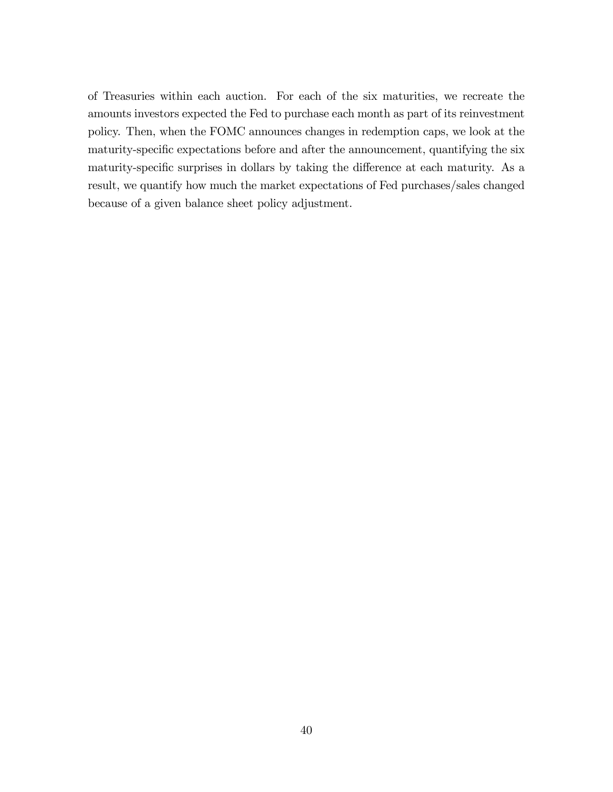of Treasuries within each auction. For each of the six maturities, we recreate the amounts investors expected the Fed to purchase each month as part of its reinvestment policy. Then, when the FOMC announces changes in redemption caps, we look at the maturity-specific expectations before and after the announcement, quantifying the six maturity-specific surprises in dollars by taking the difference at each maturity. As a result, we quantify how much the market expectations of Fed purchases/sales changed because of a given balance sheet policy adjustment.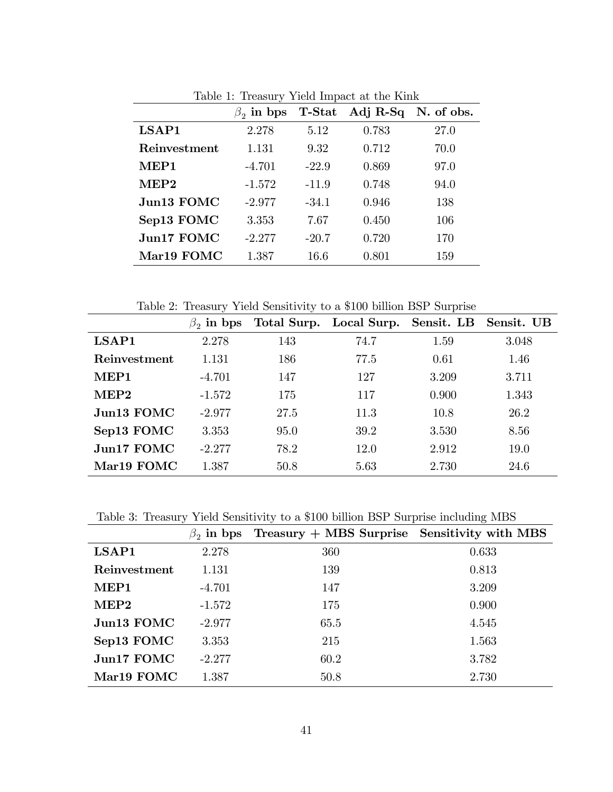|              | $\beta_2$ in bps | <b>T-Stat</b> |       | Adj $R-Sq$ N. of obs. |
|--------------|------------------|---------------|-------|-----------------------|
| LSAP1        | 2.278            | 5.12          | 0.783 | 27.0                  |
| Reinvestment | 1.131            | 9.32          | 0.712 | 70.0                  |
| MEP1         | $-4.701$         | $-22.9$       | 0.869 | 97.0                  |
| MEP2         | $-1.572$         | $-11.9$       | 0.748 | 94.0                  |
| Jun13 FOMC   | $-2.977$         | $-34.1$       | 0.946 | 138                   |
| Sep13 FOMC   | 3.353            | 7.67          | 0.450 | 106                   |
| Jun17 FOMC   | $-2.277$         | $-20.7$       | 0.720 | 170                   |
| Mar19 FOMC   | 1.387            | 16.6          | 0.801 | 159                   |

Table 1: Treasury Yield Impact at the Kink

Table 2: Treasury Yield Sensitivity to a \$100 billion BSP Surprise

|                           | in bps<br>$\beta$ <sub>2</sub> |      | Total Surp. Local Surp. Sensit. LB Sensit. UB |       |       |
|---------------------------|--------------------------------|------|-----------------------------------------------|-------|-------|
| LSAP1                     | 2.278                          | 143  | 74.7                                          | 1.59  | 3.048 |
| Reinvestment              | 1.131                          | 186  | 77.5                                          | 0.61  | 1.46  |
| MEP1                      | $-4.701$                       | 147  | 127                                           | 3.209 | 3.711 |
| MEP2                      | $-1.572$                       | 175  | 117                                           | 0.900 | 1.343 |
| $J1$ m <sub>13</sub> FOMC | $-2.977$                       | 27.5 | 11.3                                          | 10.8  | 26.2  |
| Sep13 FOMC                | 3.353                          | 95.0 | 39.2                                          | 3.530 | 8.56  |
| Jun17 FOMC                | $-2.277$                       | 78.2 | 12.0                                          | 2.912 | 19.0  |
| Mar <sub>19</sub> FOMC    | 1.387                          | 50.8 | 5.63                                          | 2.730 | 24.6  |

Table 3: Treasury Yield Sensitivity to a \$100 billion BSP Surprise including MBS

|              | $\beta_2$ in bps | Treasury $+$ MBS Surprise Sensitivity with MBS |       |
|--------------|------------------|------------------------------------------------|-------|
| LSAP1        | 2.278            | 360                                            | 0.633 |
| Reinvestment | 1.131            | 139                                            | 0.813 |
| MEP1         | $-4.701$         | 147                                            | 3.209 |
| MEP2         | $-1.572$         | 175                                            | 0.900 |
| Jun13 FOMC   | $-2.977$         | 65.5                                           | 4.545 |
| Sep13 FOMC   | 3.353            | 215                                            | 1.563 |
| Jun17 FOMC   | $-2.277$         | 60.2                                           | 3.782 |
| Mar19 FOMC   | 1.387            | 50.8                                           | 2.730 |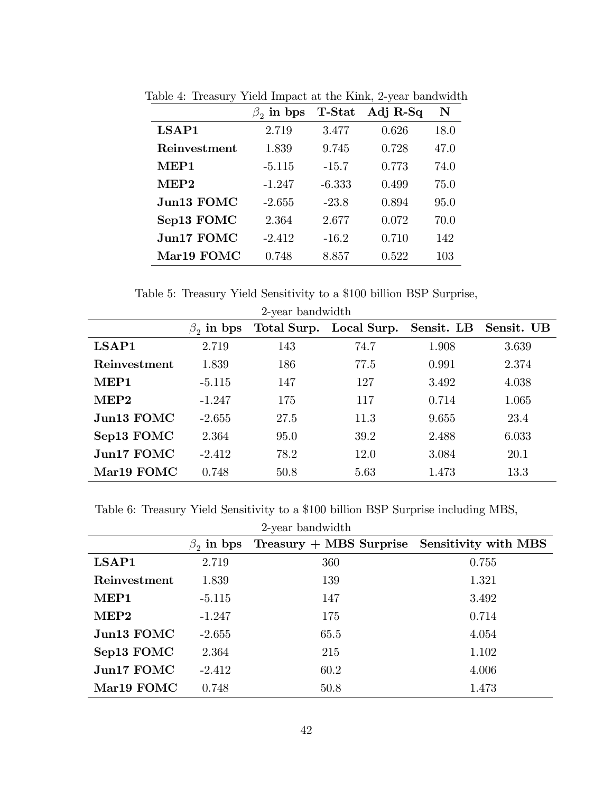|              | $\beta_2$ in bps | <b>T-Stat</b> | Adj $R-Sq$ | ${\bf N}$ |
|--------------|------------------|---------------|------------|-----------|
| LSAP1        | 2.719            | 3.477         | 0.626      | 18.0      |
| Reinvestment | 1.839            | 9.745         | 0.728      | 47.0      |
| MEP1         | $-5.115$         | $-15.7$       | 0.773      | 74.0      |
| MEP2         | $-1.247$         | $-6.333$      | 0.499      | 75.0      |
| Jun13 FOMC   | $-2.655$         | $-23.8$       | 0.894      | 95.0      |
| Sep13 FOMC   | 2.364            | 2.677         | 0.072      | 70.0      |
| Jun17 FOMC   | $-2.412$         | $-16.2$       | 0.710      | 142       |
| Mar19 FOMC   | 0.748            | 8.857         | 0.522      | 103       |

Table 4: Treasury Yield Impact at the Kink, 2-year bandwidth

Table 5: Treasury Yield Sensitivity to a \$100 billion BSP Surprise,

| 2-year bandwidth       |                                                                                       |      |      |       |       |  |  |  |  |  |
|------------------------|---------------------------------------------------------------------------------------|------|------|-------|-------|--|--|--|--|--|
|                        | Total Surp. Local Surp.<br>Sensit. LB<br>Sensit. UB<br>in bps<br>$\beta$ <sub>2</sub> |      |      |       |       |  |  |  |  |  |
| LSAP1                  | 2.719                                                                                 | 143  | 74.7 | 1.908 | 3.639 |  |  |  |  |  |
| Reinvestment           | 1.839                                                                                 | 186  | 77.5 | 0.991 | 2.374 |  |  |  |  |  |
| MEP1                   | $-5.115$                                                                              | 147  | 127  | 3.492 | 4.038 |  |  |  |  |  |
| MEP <sub>2</sub>       | $-1.247$                                                                              | 175  | 117  | 0.714 | 1.065 |  |  |  |  |  |
| Jun13 FOMC             | $-2.655$                                                                              | 27.5 | 11.3 | 9.655 | 23.4  |  |  |  |  |  |
| Sep13 FOMC             | 2.364                                                                                 | 95.0 | 39.2 | 2.488 | 6.033 |  |  |  |  |  |
| Jun17 FOMC             | $-2.412$                                                                              | 78.2 | 12.0 | 3.084 | 20.1  |  |  |  |  |  |
| Mar <sub>19</sub> FOMC | 0.748                                                                                 | 50.8 | 5.63 | 1.473 | 13.3  |  |  |  |  |  |

Table 6: Treasury Yield Sensitivity to a \$100 billion BSP Surprise including MBS,

| 2-year bandwidth       |          |                                                               |       |  |  |  |  |  |  |
|------------------------|----------|---------------------------------------------------------------|-------|--|--|--|--|--|--|
|                        |          | $\beta_2$ in bps Treasury + MBS Surprise Sensitivity with MBS |       |  |  |  |  |  |  |
| LSAP1                  | 2.719    | 360                                                           | 0.755 |  |  |  |  |  |  |
| Reinvestment           | 1.839    | 139                                                           | 1.321 |  |  |  |  |  |  |
| MEP1                   | $-5.115$ | 147                                                           | 3.492 |  |  |  |  |  |  |
| MEP2                   | $-1.247$ | 175                                                           | 0.714 |  |  |  |  |  |  |
| Jun13 FOMC             | $-2.655$ | 65.5                                                          | 4.054 |  |  |  |  |  |  |
| Sep13 FOMC             | 2.364    | 215                                                           | 1.102 |  |  |  |  |  |  |
| Jun17 FOMC             | $-2.412$ | 60.2                                                          | 4.006 |  |  |  |  |  |  |
| Mar <sub>19</sub> FOMC | 0.748    | 50.8                                                          | 1.473 |  |  |  |  |  |  |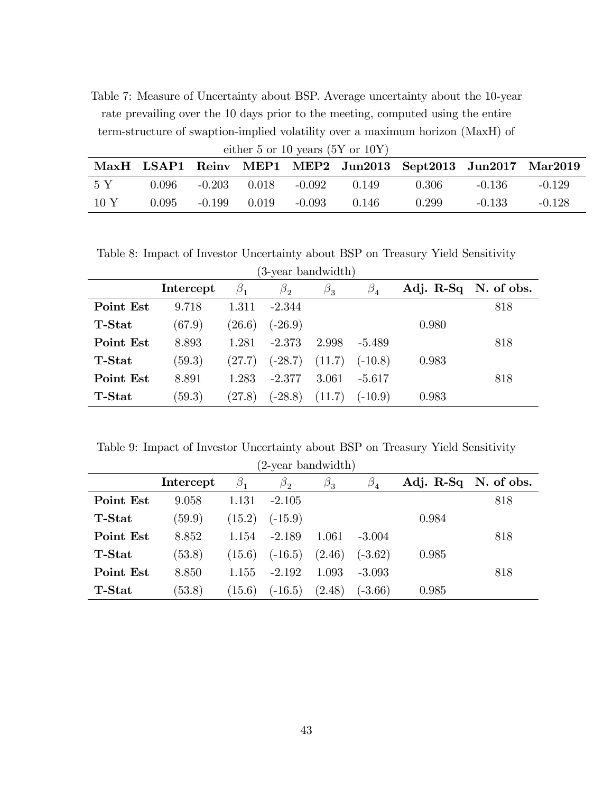Table 7: Measure of Uncertainty about BSP. Average uncertainty about the 10-year rate prevailing over the 10 days prior to the meeting, computed using the entire term-structure of swaption-implied volatility over a maximum horizon (MaxH) of

| either 5 or 10 years $(5Y \text{ or } 10Y)$ |       |  |                  |          |       |                                                             |          |          |  |
|---------------------------------------------|-------|--|------------------|----------|-------|-------------------------------------------------------------|----------|----------|--|
|                                             |       |  |                  |          |       | MaxH LSAP1 Reinv MEP1 MEP2 Jun2013 Sept2013 Jun2017 Mar2019 |          |          |  |
| - 5 Y                                       | 0.096 |  | $-0.203$ 0.018   | -0.092   | 0.149 | -0.306                                                      | $-0.136$ | $-0.129$ |  |
| 10 Y                                        | 0.095 |  | $-0.199$ $0.019$ | $-0.093$ | 0.146 | 0.299                                                       | $-0.133$ | $-0.128$ |  |

Table 8: Impact of Investor Uncertainty about BSP on Treasury Yield Sensitivity (3-year bandwidth)

| ə-year bandwidun) |           |                               |             |             |              |                      |     |  |
|-------------------|-----------|-------------------------------|-------------|-------------|--------------|----------------------|-----|--|
|                   | Intercept | $\beta_{\texttt{\texttt{1}}}$ | $\beta_{2}$ | $\beta_{3}$ | $\beta_4^{}$ | Adj. R-Sq N. of obs. |     |  |
| Point Est         | 9.718     | 1.311                         | $-2.344$    |             |              |                      | 818 |  |
| <b>T-Stat</b>     | (67.9)    | (26.6)                        | $(-26.9)$   |             |              | 0.980                |     |  |
| Point Est         | 8.893     | 1.281                         | $-2.373$    | 2.998       | -5.489       |                      | 818 |  |
| <b>T-Stat</b>     | (59.3)    | (27.7)                        | $(-28.7)$   | (11.7)      | $(-10.8)$    | 0.983                |     |  |
| Point Est         | 8.891     | 1.283                         | $-2.377$    | 3.061       | $-5.617$     |                      | 818 |  |
| <b>T-Stat</b>     | (59.3)    | (27.8)                        | $(-28.8)$   | (11.7)      | $(-10.9)$    | 0.983                |     |  |

Table 9: Impact of Investor Uncertainty about BSP on Treasury Yield Sensitivity

| (2-year bandwidth) |           |        |           |             |           |                      |     |  |  |
|--------------------|-----------|--------|-----------|-------------|-----------|----------------------|-----|--|--|
|                    | Intercept |        | $\beta_2$ | $\beta_{3}$ | $\beta_4$ | Adj. R-Sq N. of obs. |     |  |  |
| Point Est          | 9.058     | 1.131  | $-2.105$  |             |           |                      | 818 |  |  |
| <b>T-Stat</b>      | (59.9)    | (15.2) | $(-15.9)$ |             |           | 0.984                |     |  |  |
| Point Est          | 8.852     | 1.154  | $-2.189$  | 1.061       | $-3.004$  |                      | 818 |  |  |
| <b>T-Stat</b>      | (53.8)    | (15.6) | $(-16.5)$ | (2.46)      | $(-3.62)$ | 0.985                |     |  |  |
| Point Est          | 8.850     | 1.155  | $-2.192$  | 1.093       | $-3.093$  |                      | 818 |  |  |
| <b>T-Stat</b>      | (53.8)    | (15.6) | $(-16.5)$ | (2.48)      | $(-3.66)$ | 0.985                |     |  |  |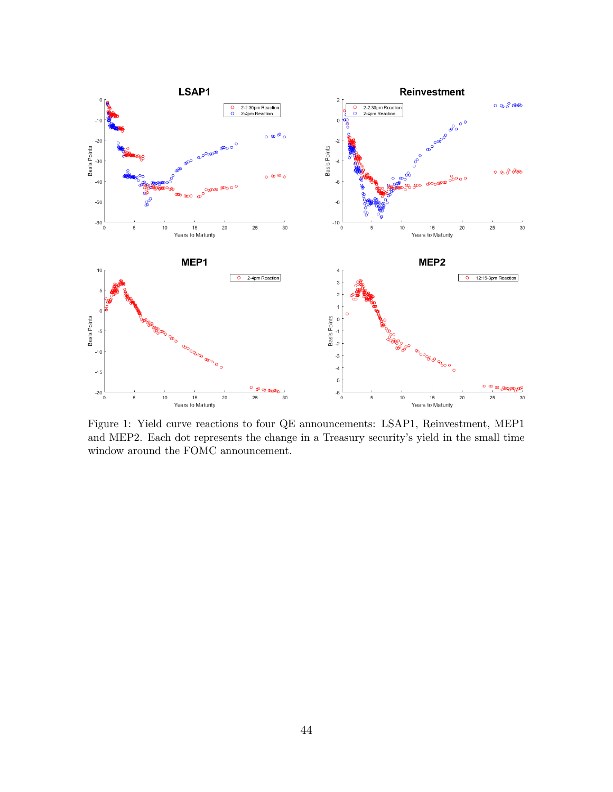

Figure 1: Yield curve reactions to four QE announcements: LSAP1, Reinvestment, MEP1 and MEP2. Each dot represents the change in a Treasury security's yield in the small time window around the FOMC announcement.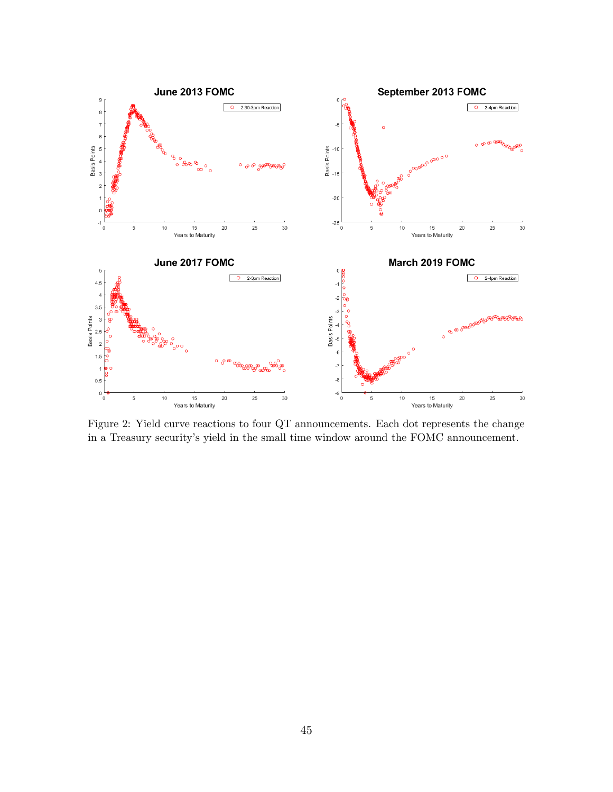

Figure 2: Yield curve reactions to four QT announcements. Each dot represents the change in a Treasury security's yield in the small time window around the FOMC announcement.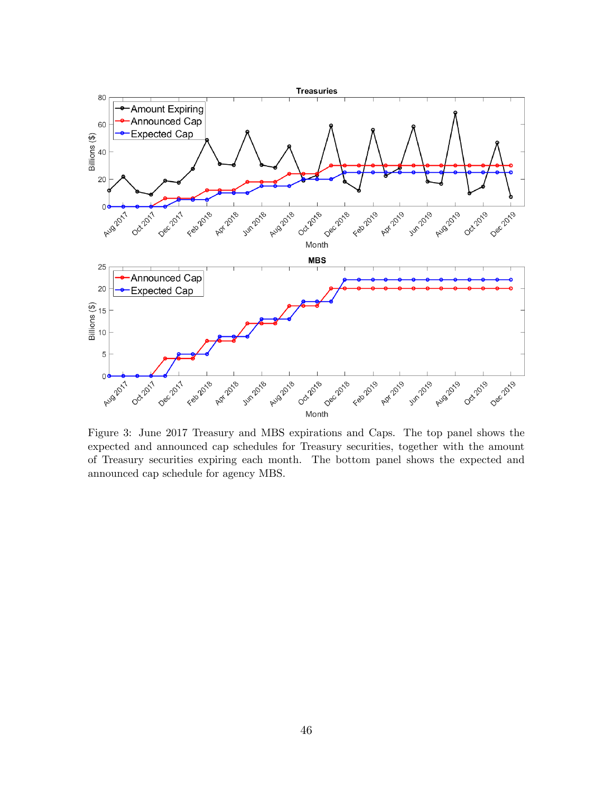

expected and announced cap schedules for Treasury securities, together with the amount of Treasury securities expiring each month. The bottom panel shows the expected and announced cap schedule for agency MBS.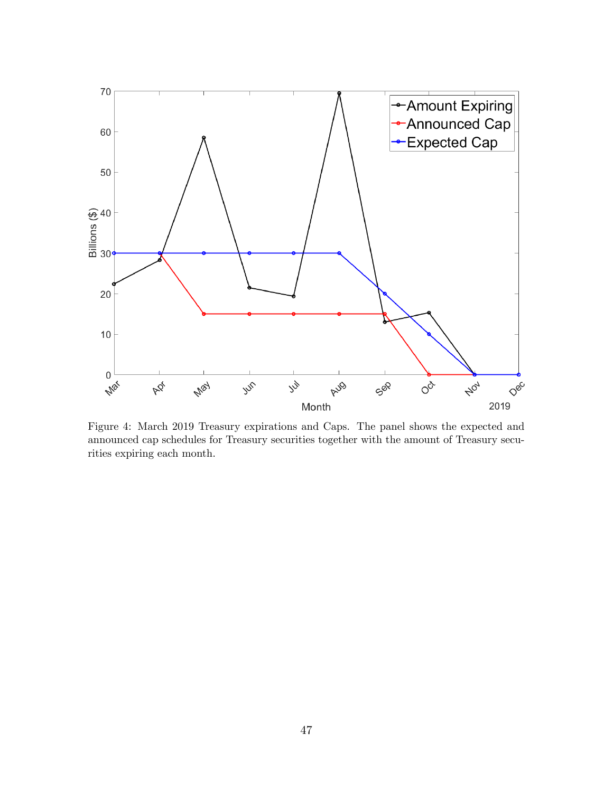

Figure 4: March 2019 Treasury expirations and Caps. The panel shows the expected and announced cap schedules for Treasury securities together with the amount of Treasury securities expiring each month.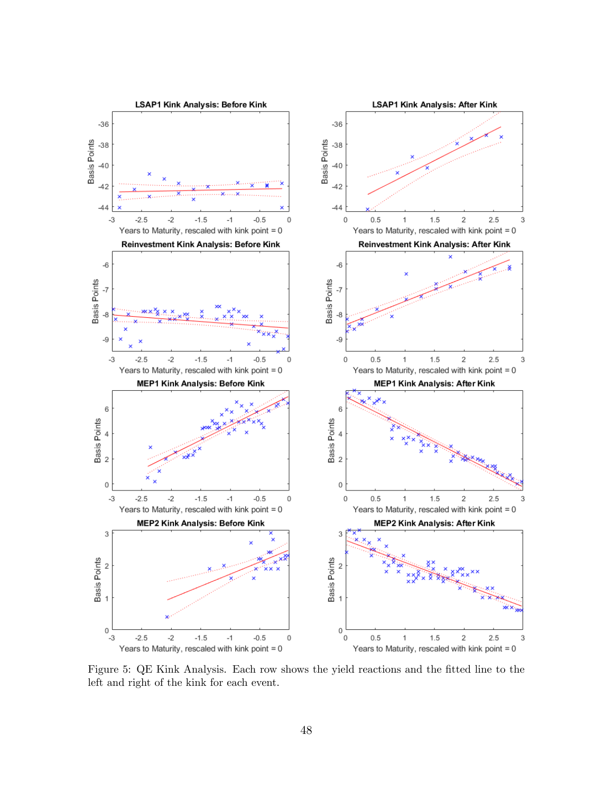

Figure 5: QE Kink Analysis. Each row shows the yield reactions and the fitted line to the left and right of the kink for each event.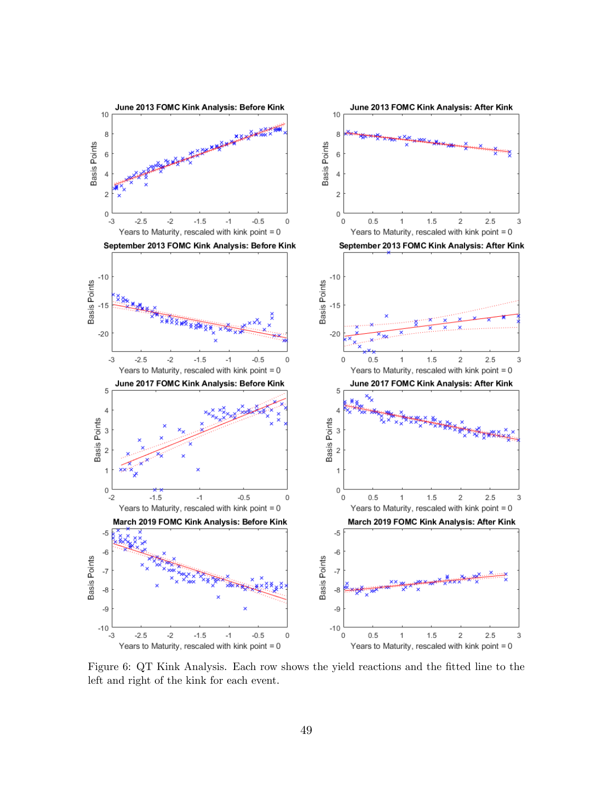

Figure 6: QT Kink Analysis. Each row shows the yield reactions and the fitted line to the left and right of the kink for each event.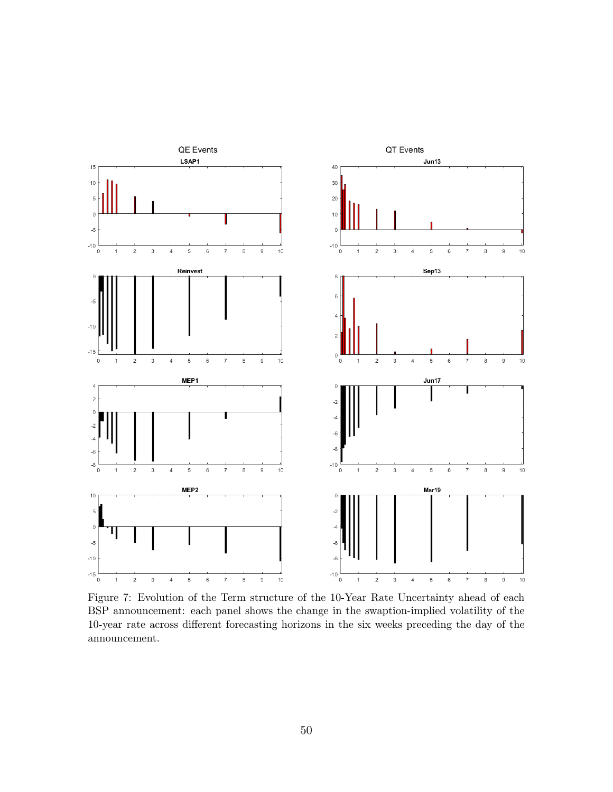

Figure 7: Evolution of the Term structure of the 10-Year Rate Uncertainty ahead of each BSP announcement: each panel shows the change in the swaption-implied volatility of the 10-year rate across different forecasting horizons in the six weeks preceding the day of the announcement.